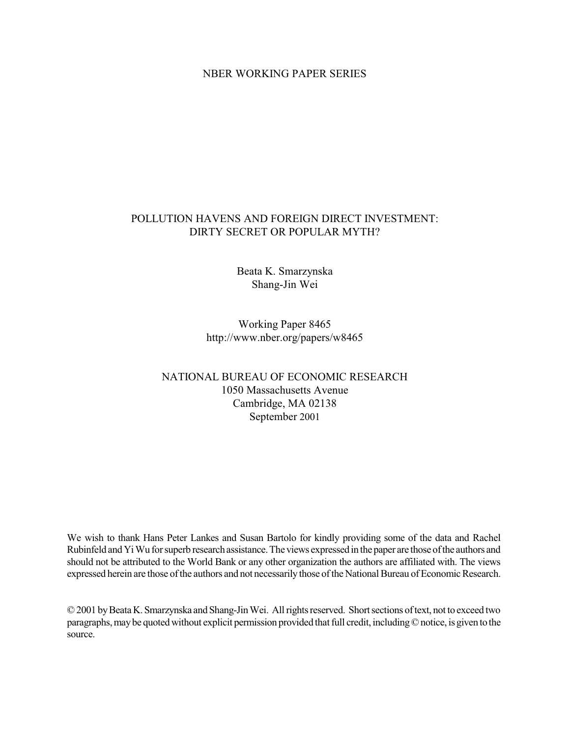# **NBER WORKING PAPER SERIES**

# POLLUTION HAVENS AND FOREIGN DIRECT INVESTMENT: DIRTY SECRET OR POPULAR MYTH?

Beata K. Smarzynska Shang-Jin Wei

Working Paper 8465 http://www.nber.org/papers/w8465

# NATIONAL BUREAU OF ECONOMIC RESEARCH 1050 Massachusetts Avenue Cambridge, MA 02138 September 2001

We wish to thank Hans Peter Lankes and Susan Bartolo for kindly providing some of the data and Rachel Rubinfeld and Yi Wu for superb research assistance. The views expressed in the paper are those of the authors and should not be attributed to the World Bank or any other organization the authors are affiliated with. The views expressed herein are those of the authors and not necessarily those of the National Bureau of Economic Research.

© 2001 by Beata K. Smarzynska and Shang-Jin Wei. All rights reserved. Short sections of text, not to exceed two paragraphs, may be quoted without explicit permission provided that full credit, including © notice, is given to the source.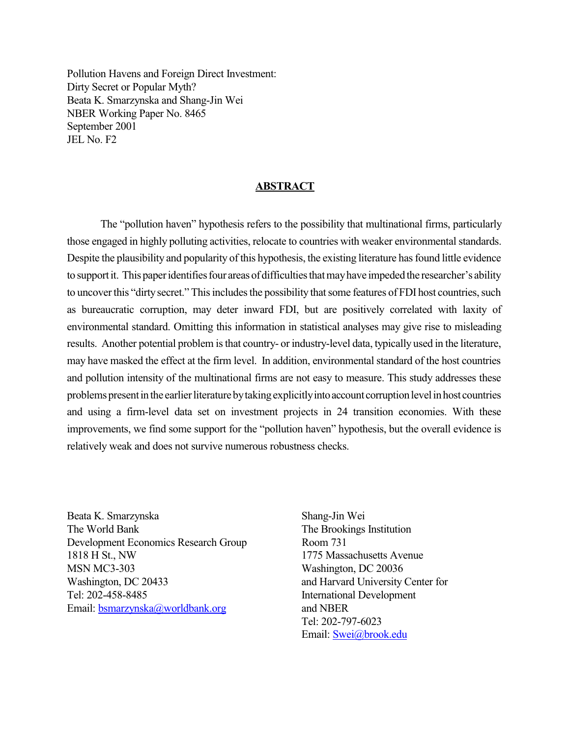Pollution Havens and Foreign Direct Investment: Dirty Secret or Popular Myth? Beata K. Smarzynska and Shang-Jin Wei NBER Working Paper No. 8465 September 2001 JEL No. F<sub>2</sub>

#### **ABSTRACT**

The "pollution haven" hypothesis refers to the possibility that multinational firms, particularly those engaged in highly polluting activities, relocate to countries with weaker environmental standards. Despite the plausibility and popularity of this hypothesis, the existing literature has found little evidence to support it. This paper identifies four areas of difficulties that may have impeded the researcher's ability to uncover this "dirty secret." This includes the possibility that some features of FDI host countries, such as bureaucratic corruption, may deter inward FDI, but are positively correlated with laxity of environmental standard. Omitting this information in statistical analyses may give rise to misleading results. Another potential problem is that country- or industry-level data, typically used in the literature, may have masked the effect at the firm level. In addition, environmental standard of the host countries and pollution intensity of the multinational firms are not easy to measure. This study addresses these problems present in the earlier literature by taking explicitly into account corruption level in host countries and using a firm-level data set on investment projects in 24 transition economies. With these improvements, we find some support for the "pollution haven" hypothesis, but the overall evidence is relatively weak and does not survive numerous robustness checks.

Beata K. Smarzynska The World Bank Development Economics Research Group 1818 H St., NW **MSN MC3-303** Washington, DC 20433 Tel: 202-458-8485 Email: bsmarzynska@worldbank.org

Shang-Jin Wei The Brookings Institution Room 731 1775 Massachusetts Avenue Washington, DC 20036 and Harvard University Center for **International Development** and NBER Tel: 202-797-6023 Email: Swei@brook.edu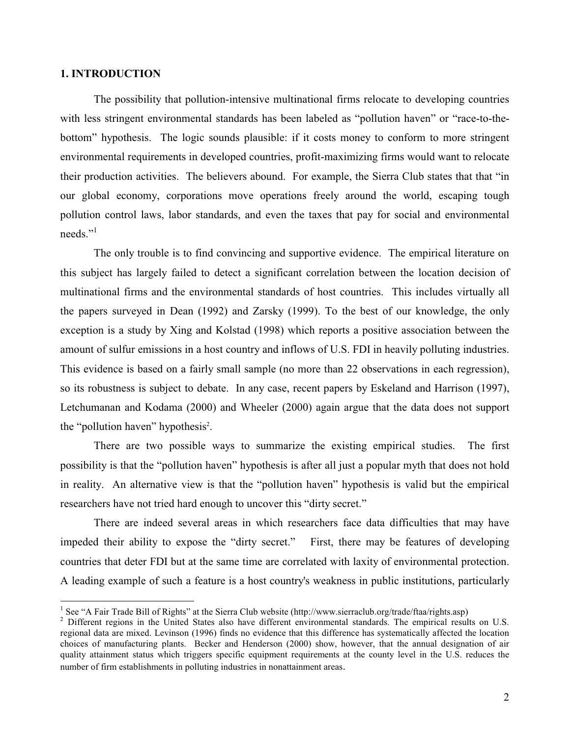# **1. INTRODUCTION**

The possibility that pollution-intensive multinational firms relocate to developing countries with less stringent environmental standards has been labeled as "pollution haven" or "race-to-thebottom" hypothesis. The logic sounds plausible: if it costs money to conform to more stringent environmental requirements in developed countries, profit-maximizing firms would want to relocate their production activities. The believers abound. For example, the Sierra Club states that that "in our global economy, corporations move operations freely around the world, escaping tough pollution control laws, labor standards, and even the taxes that pay for social and environmental needs $"$ <sup>1</sup>

The only trouble is to find convincing and supportive evidence. The empirical literature on this subject has largely failed to detect a significant correlation between the location decision of multinational firms and the environmental standards of host countries. This includes virtually all the papers surveyed in Dean (1992) and Zarsky (1999). To the best of our knowledge, the only exception is a study by Xing and Kolstad (1998) which reports a positive association between the amount of sulfur emissions in a host country and inflows of U.S. FDI in heavily polluting industries. This evidence is based on a fairly small sample (no more than 22 observations in each regression), so its robustness is subject to debate. In any case, recent papers by Eskeland and Harrison (1997), Letchumanan and Kodama (2000) and Wheeler (2000) again argue that the data does not support the "pollution haven" hypothesis<sup>2</sup>.

There are two possible ways to summarize the existing empirical studies. The first possibility is that the "pollution haven" hypothesis is after all just a popular myth that does not hold in reality. An alternative view is that the "pollution haven" hypothesis is valid but the empirical researchers have not tried hard enough to uncover this "dirty secret."

There are indeed several areas in which researchers face data difficulties that may have impeded their ability to expose the "dirty secret." First, there may be features of developing countries that deter FDI but at the same time are correlated with laxity of environmental protection. A leading example of such a feature is a host country's weakness in public institutions, particularly

<sup>&</sup>lt;sup>1</sup> See "A Fair Trade Bill of Rights" at the Sierra Club website (http://www.sierraclub.org/trade/ftaa/rights.asp)

<sup>&</sup>lt;sup>2</sup> Different regions in the United States also have different environmental standards. The empirical results on U.S. regional data are mixed. Levinson (1996) finds no evidence that this difference has systematically affected the location choices of manufacturing plants. Becker and Henderson (2000) show, however, that the annual designation of air quality attainment status which triggers specific equipment requirements at the county level in the U.S. reduces the number of firm establishments in polluting industries in nonattainment areas.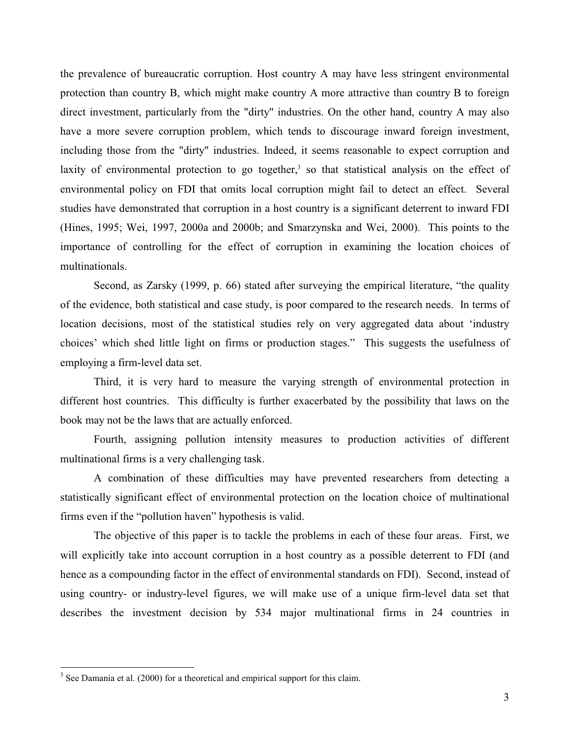the prevalence of bureaucratic corruption. Host country A may have less stringent environmental protection than country B, which might make country A more attractive than country B to foreign direct investment, particularly from the "dirty" industries. On the other hand, country A may also have a more severe corruption problem, which tends to discourage inward foreign investment, including those from the "dirty" industries. Indeed, it seems reasonable to expect corruption and laxity of environmental protection to go together,<sup>3</sup> so that statistical analysis on the effect of environmental policy on FDI that omits local corruption might fail to detect an effect. Several studies have demonstrated that corruption in a host country is a significant deterrent to inward FDI (Hines, 1995; Wei, 1997, 2000a and 2000b; and Smarzynska and Wei, 2000). This points to the importance of controlling for the effect of corruption in examining the location choices of multinationals.

Second, as Zarsky (1999, p. 66) stated after surveying the empirical literature, "the quality of the evidence, both statistical and case study, is poor compared to the research needs. In terms of location decisions, most of the statistical studies rely on very aggregated data about 'industry choices' which shed little light on firms or production stages." This suggests the usefulness of employing a firm-level data set.

Third, it is very hard to measure the varying strength of environmental protection in different host countries. This difficulty is further exacerbated by the possibility that laws on the book may not be the laws that are actually enforced.

Fourth, assigning pollution intensity measures to production activities of different multinational firms is a very challenging task.

A combination of these difficulties may have prevented researchers from detecting a statistically significant effect of environmental protection on the location choice of multinational firms even if the "pollution haven" hypothesis is valid.

The objective of this paper is to tackle the problems in each of these four areas. First, we will explicitly take into account corruption in a host country as a possible deterrent to FDI (and hence as a compounding factor in the effect of environmental standards on FDI. Second, instead of using country- or industry-level figures, we will make use of a unique firm-level data set that describes the investment decision by 534 major multinational firms in 24 countries in

 $3$  See Damania et al. (2000) for a theoretical and empirical support for this claim.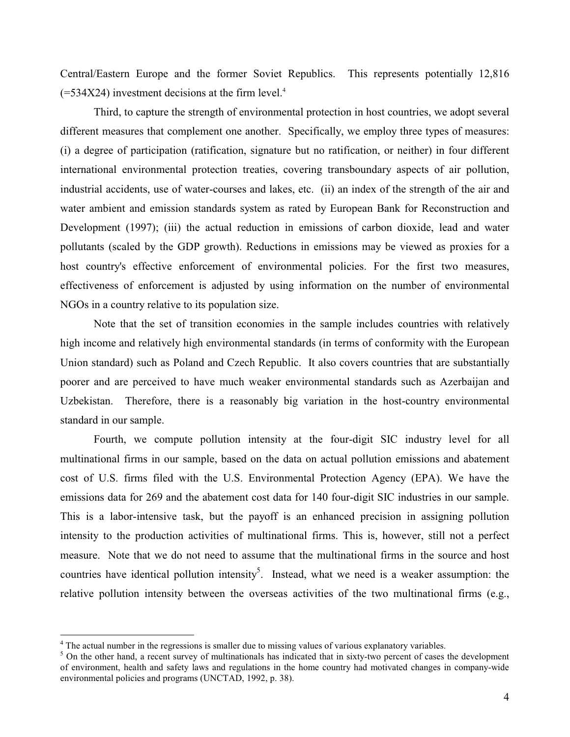Central/Eastern Europe and the former Soviet Republics. This represents potentially 12,816  $(=534X24)$  investment decisions at the firm level.<sup>4</sup>

Third, to capture the strength of environmental protection in host countries, we adopt several different measures that complement one another. Specifically, we employ three types of measures: (i) a degree of participation (ratification, signature but no ratification, or neither) in four different international environmental protection treaties, covering transboundary aspects of air pollution, industrial accidents, use of water-courses and lakes, etc. (ii) an index of the strength of the air and water ambient and emission standards system as rated by European Bank for Reconstruction and Development (1997); (iii) the actual reduction in emissions of carbon dioxide, lead and water pollutants (scaled by the GDP growth). Reductions in emissions may be viewed as proxies for a host country's effective enforcement of environmental policies. For the first two measures, effectiveness of enforcement is adjusted by using information on the number of environmental NGOs in a country relative to its population size.

Note that the set of transition economies in the sample includes countries with relatively high income and relatively high environmental standards (in terms of conformity with the European Union standard) such as Poland and Czech Republic. It also covers countries that are substantially poorer and are perceived to have much weaker environmental standards such as Azerbaijan and Uzbekistan. Therefore, there is a reasonably big variation in the host-country environmental standard in our sample.

Fourth, we compute pollution intensity at the four-digit SIC industry level for all multinational firms in our sample, based on the data on actual pollution emissions and abatement cost of U.S. firms filed with the U.S. Environmental Protection Agency (EPA). We have the emissions data for 269 and the abatement cost data for 140 four-digit SIC industries in our sample. This is a labor-intensive task, but the payoff is an enhanced precision in assigning pollution intensity to the production activities of multinational firms. This is, however, still not a perfect measure. Note that we do not need to assume that the multinational firms in the source and host countries have identical pollution intensity<sup>5</sup>. Instead, what we need is a weaker assumption: the relative pollution intensity between the overseas activities of the two multinational firms (e.g.,

 $4$  The actual number in the regressions is smaller due to missing values of various explanatory variables.

 $5$  On the other hand, a recent survey of multinationals has indicated that in sixty-two percent of cases the development of environment, health and safety laws and regulations in the home country had motivated changes in company-wide environmental policies and programs (UNCTAD, 1992, p. 38).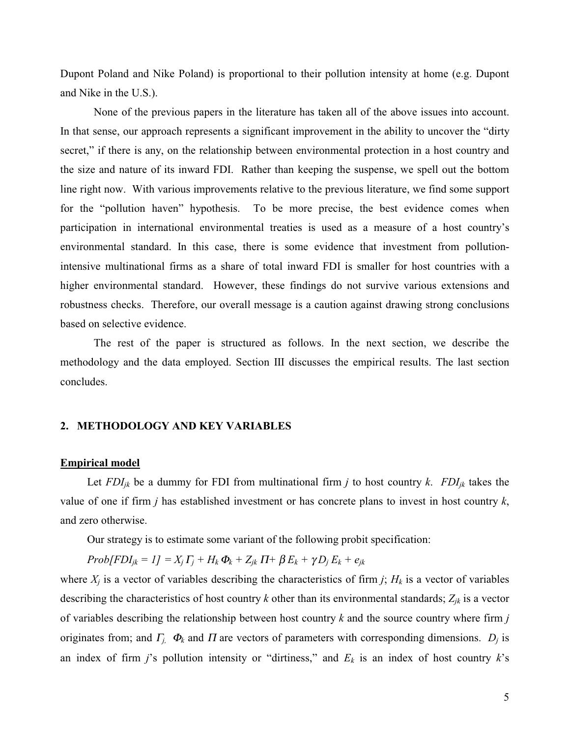Dupont Poland and Nike Poland) is proportional to their pollution intensity at home (e.g. Dupont and Nike in the U.S.).

None of the previous papers in the literature has taken all of the above issues into account. In that sense, our approach represents a significant improvement in the ability to uncover the "dirty" secret," if there is any, on the relationship between environmental protection in a host country and the size and nature of its inward FDI. Rather than keeping the suspense, we spell out the bottom line right now. With various improvements relative to the previous literature, we find some support for the "pollution haven" hypothesis. To be more precise, the best evidence comes when participation in international environmental treaties is used as a measure of a host country's environmental standard. In this case, there is some evidence that investment from pollutionintensive multinational firms as a share of total inward FDI is smaller for host countries with a higher environmental standard. However, these findings do not survive various extensions and robustness checks. Therefore, our overall message is a caution against drawing strong conclusions based on selective evidence.

The rest of the paper is structured as follows. In the next section, we describe the methodology and the data employed. Section III discusses the empirical results. The last section concludes.

# 2. METHODOLOGY AND KEY VARIABLES

#### **Empirical model**

Let  $FDI_{jk}$  be a dummy for FDI from multinational firm j to host country k.  $FDI_{jk}$  takes the value of one if firm  $j$  has established investment or has concrete plans to invest in host country  $k$ , and zero otherwise.

Our strategy is to estimate some variant of the following probit specification:

$$
Prob(FDI_{jk}=1]=X_j\Gamma_j+H_k\Phi_k+Z_{jk}\Pi+\beta E_k+\gamma D_jE_k+e_{jk}
$$

where  $X_j$  is a vector of variables describing the characteristics of firm j;  $H_k$  is a vector of variables describing the characteristics of host country k other than its environmental standards;  $Z_{ik}$  is a vector of variables describing the relationship between host country  $k$  and the source country where firm  $j$ originates from; and  $\Gamma_i$ ,  $\Phi_k$  and  $\Pi$  are vectors of parameters with corresponding dimensions.  $D_i$  is an index of firm j's pollution intensity or "dirtiness," and  $E_k$  is an index of host country k's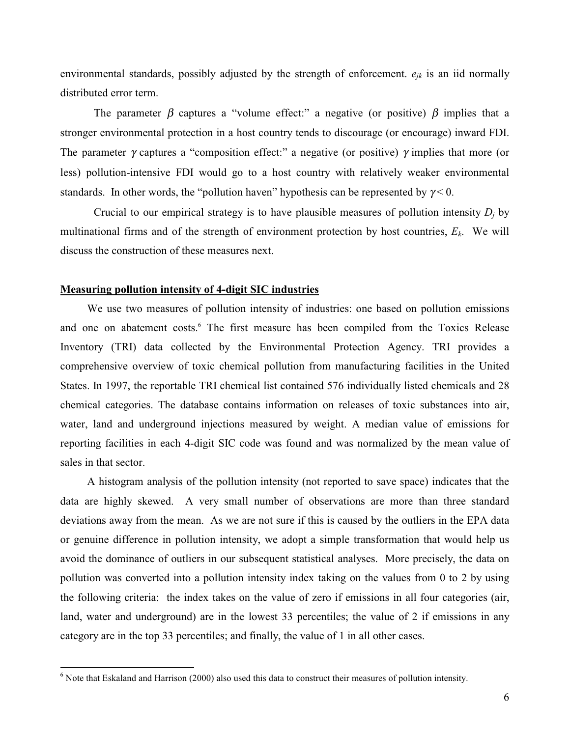environmental standards, possibly adjusted by the strength of enforcement.  $e_{jk}$  is an iid normally distributed error term.

The parameter  $\beta$  captures a "volume effect:" a negative (or positive)  $\beta$  implies that a stronger environmental protection in a host country tends to discourage (or encourage) inward FDI. The parameter  $\gamma$  captures a "composition effect:" a negative (or positive)  $\gamma$  implies that more (or less) pollution-intensive FDI would go to a host country with relatively weaker environmental standards. In other words, the "pollution haven" hypothesis can be represented by  $\gamma < 0$ .

Crucial to our empirical strategy is to have plausible measures of pollution intensity  $D_i$  by multinational firms and of the strength of environment protection by host countries,  $E_k$ . We will discuss the construction of these measures next.

## **Measuring pollution intensity of 4-digit SIC industries**

We use two measures of pollution intensity of industries: one based on pollution emissions and one on abatement costs.<sup>6</sup> The first measure has been compiled from the Toxics Release Inventory (TRI) data collected by the Environmental Protection Agency. TRI provides a comprehensive overview of toxic chemical pollution from manufacturing facilities in the United States. In 1997, the reportable TRI chemical list contained 576 individually listed chemicals and 28 chemical categories. The database contains information on releases of toxic substances into air, water, land and underground injections measured by weight. A median value of emissions for reporting facilities in each 4-digit SIC code was found and was normalized by the mean value of sales in that sector.

A histogram analysis of the pollution intensity (not reported to save space) indicates that the data are highly skewed. A very small number of observations are more than three standard deviations away from the mean. As we are not sure if this is caused by the outliers in the EPA data or genuine difference in pollution intensity, we adopt a simple transformation that would help us avoid the dominance of outliers in our subsequent statistical analyses. More precisely, the data on pollution was converted into a pollution intensity index taking on the values from 0 to 2 by using the following criteria: the index takes on the value of zero if emissions in all four categories (air, land, water and underground) are in the lowest 33 percentiles; the value of 2 if emissions in any category are in the top 33 percentiles; and finally, the value of 1 in all other cases.

 $6$  Note that Eskaland and Harrison (2000) also used this data to construct their measures of pollution intensity.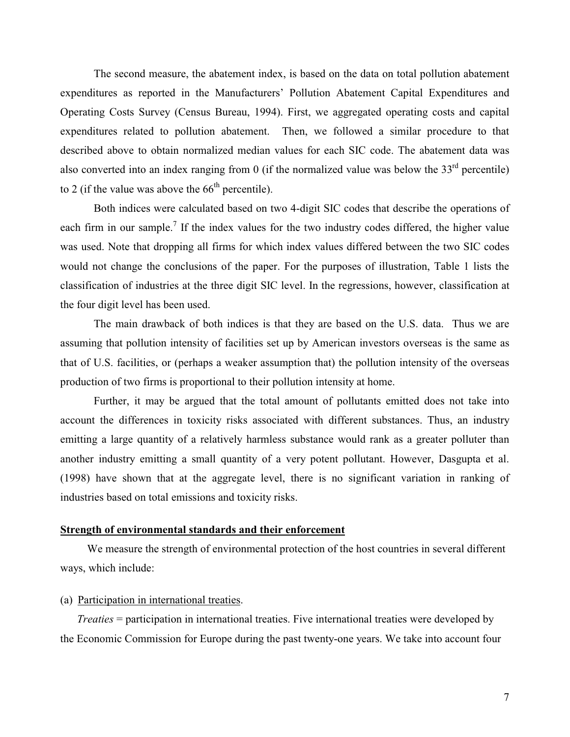The second measure, the abatement index, is based on the data on total pollution abatement expenditures as reported in the Manufacturers' Pollution Abatement Capital Expenditures and Operating Costs Survey (Census Bureau, 1994). First, we aggregated operating costs and capital expenditures related to pollution abatement. Then, we followed a similar procedure to that described above to obtain normalized median values for each SIC code. The abatement data was also converted into an index ranging from 0 (if the normalized value was below the  $33<sup>rd</sup>$  percentile) to 2 (if the value was above the  $66<sup>th</sup>$  percentile).

Both indices were calculated based on two 4-digit SIC codes that describe the operations of each firm in our sample.<sup>7</sup> If the index values for the two industry codes differed, the higher value was used. Note that dropping all firms for which index values differed between the two SIC codes would not change the conclusions of the paper. For the purposes of illustration, Table 1 lists the classification of industries at the three digit SIC level. In the regressions, however, classification at the four digit level has been used.

The main drawback of both indices is that they are based on the U.S. data. Thus we are assuming that pollution intensity of facilities set up by American investors overseas is the same as that of U.S. facilities, or (perhaps a weaker assumption that) the pollution intensity of the overseas production of two firms is proportional to their pollution intensity at home.

Further, it may be argued that the total amount of pollutants emitted does not take into account the differences in toxicity risks associated with different substances. Thus, an industry emitting a large quantity of a relatively harmless substance would rank as a greater polluter than another industry emitting a small quantity of a very potent pollutant. However, Dasgupta et al. (1998) have shown that at the aggregate level, there is no significant variation in ranking of industries based on total emissions and toxicity risks.

# Strength of environmental standards and their enforcement

We measure the strength of environmental protection of the host countries in several different ways, which include:

# (a) Participation in international treaties.

*Treaties* = participation in international treaties. Five international treaties were developed by the Economic Commission for Europe during the past twenty-one years. We take into account four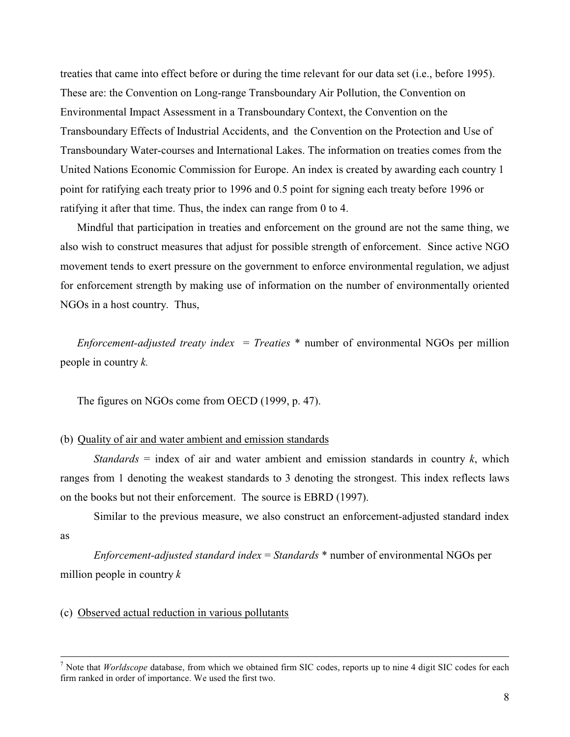treaties that came into effect before or during the time relevant for our data set (i.e., before 1995). These are: the Convention on Long-range Transboundary Air Pollution, the Convention on Environmental Impact Assessment in a Transboundary Context, the Convention on the Transboundary Effects of Industrial Accidents, and the Convention on the Protection and Use of Transboundary Water-courses and International Lakes. The information on treaties comes from the United Nations Economic Commission for Europe. An index is created by awarding each country 1 point for ratifying each treaty prior to 1996 and 0.5 point for signing each treaty before 1996 or ratifying it after that time. Thus, the index can range from 0 to 4.

Mindful that participation in treaties and enforcement on the ground are not the same thing, we also wish to construct measures that adjust for possible strength of enforcement. Since active NGO movement tends to exert pressure on the government to enforce environmental regulation, we adjust for enforcement strength by making use of information on the number of environmentally oriented NGOs in a host country. Thus,

*Enforcement-adjusted treaty index = Treaties*  $*$  number of environmental NGOs per million people in country  $k$ .

The figures on NGOs come from OECD (1999, p. 47).

# (b) Quality of air and water ambient and emission standards

*Standards* = index of air and water ambient and emission standards in country  $k$ , which ranges from 1 denoting the weakest standards to 3 denoting the strongest. This index reflects laws on the books but not their enforcement. The source is EBRD (1997).

Similar to the previous measure, we also construct an enforcement-adjusted standard index **as** 

*Enforcement-adjusted standard index* = *Standards*  $*$  number of environmental NGOs per million people in country  $k$ 

# (c) Observed actual reduction in various pollutants

<sup>&</sup>lt;sup>7</sup> Note that *Worldscope* database, from which we obtained firm SIC codes, reports up to nine 4 digit SIC codes for each firm ranked in order of importance. We used the first two.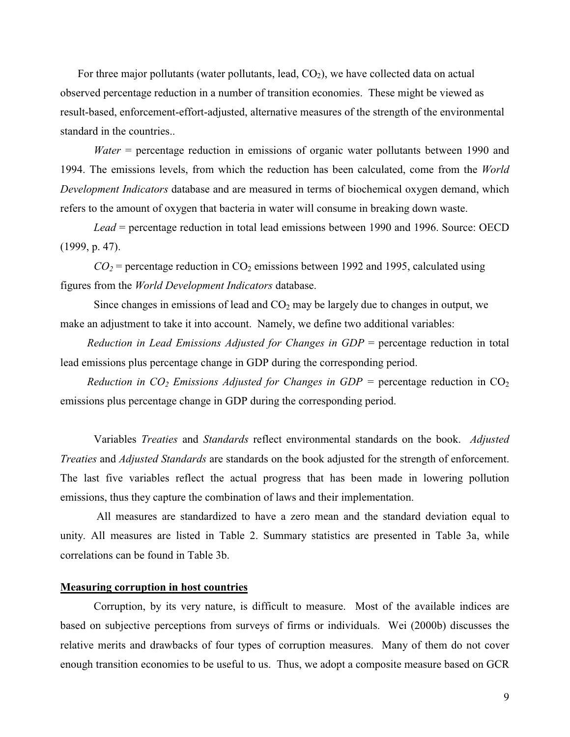For three major pollutants (water pollutants, lead,  $CO<sub>2</sub>$ ), we have collected data on actual observed percentage reduction in a number of transition economies. These might be viewed as result-based, enforcement-effort-adjusted, alternative measures of the strength of the environmental standard in the countries..

*Water* = percentage reduction in emissions of organic water pollutants between 1990 and 1994. The emissions levels, from which the reduction has been calculated, come from the World Development Indicators database and are measured in terms of biochemical oxygen demand, which refers to the amount of oxygen that bacteria in water will consume in breaking down waste.

Lead = percentage reduction in total lead emissions between 1990 and 1996. Source: OECD  $(1999, p. 47).$ 

 $CO_2$  = percentage reduction in CO<sub>2</sub> emissions between 1992 and 1995, calculated using figures from the *World Development Indicators* database.

Since changes in emissions of lead and  $CO<sub>2</sub>$  may be largely due to changes in output, we make an adjustment to take it into account. Namely, we define two additional variables:

Reduction in Lead Emissions Adjusted for Changes in  $GDP$  = percentage reduction in total lead emissions plus percentage change in GDP during the corresponding period.

Reduction in CO<sub>2</sub> Emissions Adjusted for Changes in GDP = percentage reduction in CO<sub>2</sub> emissions plus percentage change in GDP during the corresponding period.

Variables Treaties and Standards reflect environmental standards on the book. Adjusted Treaties and Adjusted Standards are standards on the book adjusted for the strength of enforcement. The last five variables reflect the actual progress that has been made in lowering pollution emissions, thus they capture the combination of laws and their implementation.

All measures are standardized to have a zero mean and the standard deviation equal to unity. All measures are listed in Table 2. Summary statistics are presented in Table 3a, while correlations can be found in Table 3b.

#### **Measuring corruption in host countries**

Corruption, by its very nature, is difficult to measure. Most of the available indices are based on subjective perceptions from surveys of firms or individuals. Wei (2000b) discusses the relative merits and drawbacks of four types of corruption measures. Many of them do not cover enough transition economies to be useful to us. Thus, we adopt a composite measure based on GCR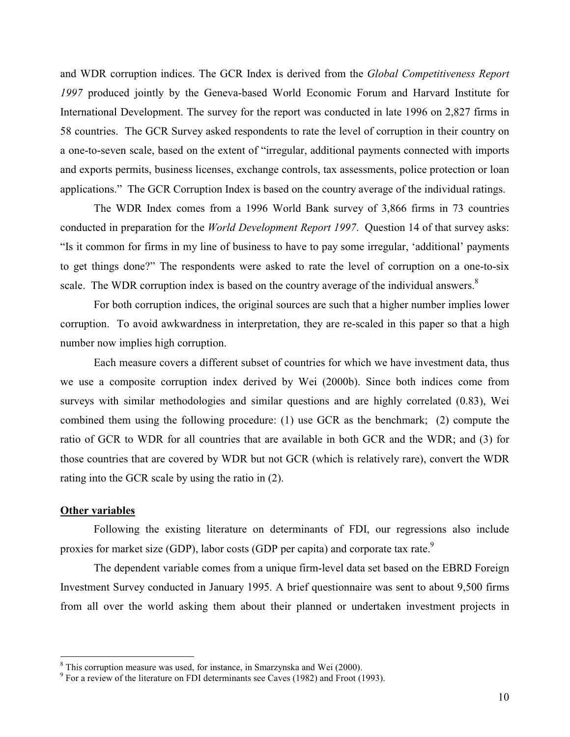and WDR corruption indices. The GCR Index is derived from the *Global Competitiveness Report* 1997 produced jointly by the Geneva-based World Economic Forum and Harvard Institute for International Development. The survey for the report was conducted in late 1996 on 2,827 firms in 58 countries. The GCR Survey asked respondents to rate the level of corruption in their country on a one-to-seven scale, based on the extent of "irregular, additional payments connected with imports and exports permits, business licenses, exchange controls, tax assessments, police protection or loan applications." The GCR Corruption Index is based on the country average of the individual ratings.

The WDR Index comes from a 1996 World Bank survey of 3,866 firms in 73 countries conducted in preparation for the *World Development Report 1997*. Question 14 of that survey asks: "Is it common for firms in my line of business to have to pay some irregular, 'additional' payments to get things done?" The respondents were asked to rate the level of corruption on a one-to-six scale. The WDR corruption index is based on the country average of the individual answers.<sup>8</sup>

For both corruption indices, the original sources are such that a higher number implies lower corruption. To avoid awkwardness in interpretation, they are re-scaled in this paper so that a high number now implies high corruption.

Each measure covers a different subset of countries for which we have investment data, thus we use a composite corruption index derived by Wei (2000b). Since both indices come from surveys with similar methodologies and similar questions and are highly correlated (0.83), Wei combined them using the following procedure: (1) use GCR as the benchmark; (2) compute the ratio of GCR to WDR for all countries that are available in both GCR and the WDR; and (3) for those countries that are covered by WDR but not GCR (which is relatively rare), convert the WDR rating into the GCR scale by using the ratio in (2).

# **Other variables**

Following the existing literature on determinants of FDI, our regressions also include proxies for market size (GDP), labor costs (GDP per capita) and corporate tax rate.<sup>9</sup>

The dependent variable comes from a unique firm-level data set based on the EBRD Foreign Investment Survey conducted in January 1995. A brief questionnaire was sent to about 9,500 firms from all over the world asking them about their planned or undertaken investment projects in

 $8$  This corruption measure was used, for instance, in Smarzynska and Wei (2000).

 $9$  For a review of the literature on FDI determinants see Caves (1982) and Froot (1993).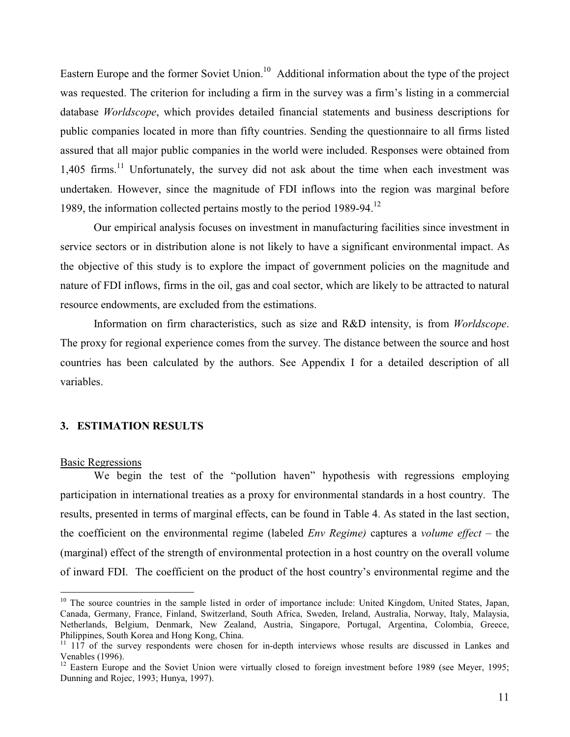Eastern Europe and the former Soviet Union.<sup>10</sup> Additional information about the type of the project was requested. The criterion for including a firm in the survey was a firm's listing in a commercial database Worldscope, which provides detailed financial statements and business descriptions for public companies located in more than fifty countries. Sending the questionnaire to all firms listed assured that all major public companies in the world were included. Responses were obtained from  $1,405$  firms.<sup>11</sup> Unfortunately, the survey did not ask about the time when each investment was undertaken. However, since the magnitude of FDI inflows into the region was marginal before 1989, the information collected pertains mostly to the period  $1989-94$ <sup>12</sup>

Our empirical analysis focuses on investment in manufacturing facilities since investment in service sectors or in distribution alone is not likely to have a significant environmental impact. As the objective of this study is to explore the impact of government policies on the magnitude and nature of FDI inflows, firms in the oil, gas and coal sector, which are likely to be attracted to natural resource endowments, are excluded from the estimations.

Information on firm characteristics, such as size and R&D intensity, is from *Worldscope*. The proxy for regional experience comes from the survey. The distance between the source and host countries has been calculated by the authors. See Appendix I for a detailed description of all variables.

# 3. ESTIMATION RESULTS

#### **Basic Regressions**

We begin the test of the "pollution haven" hypothesis with regressions employing participation in international treaties as a proxy for environmental standards in a host country. The results, presented in terms of marginal effects, can be found in Table 4. As stated in the last section, the coefficient on the environmental regime (labeled  $Env$  Regime) captures a volume effect – the (marginal) effect of the strength of environmental protection in a host country on the overall volume of inward FDI. The coefficient on the product of the host country's environmental regime and the

<sup>&</sup>lt;sup>10</sup> The source countries in the sample listed in order of importance include: United Kingdom, United States, Japan, Canada, Germany, France, Finland, Switzerland, South Africa, Sweden, Ireland, Australia, Norway, Italy, Malaysia, Netherlands, Belgium, Denmark, New Zealand, Austria, Singapore, Portugal, Argentina, Colombia, Greece, Philippines, South Korea and Hong Kong, China.

<sup>&</sup>lt;sup>11</sup> 117 of the survey respondents were chosen for in-depth interviews whose results are discussed in Lankes and Venables (1996).

<sup>&</sup>lt;sup>12</sup> Eastern Europe and the Soviet Union were virtually closed to foreign investment before 1989 (see Meyer, 1995; Dunning and Rojec, 1993; Hunya, 1997).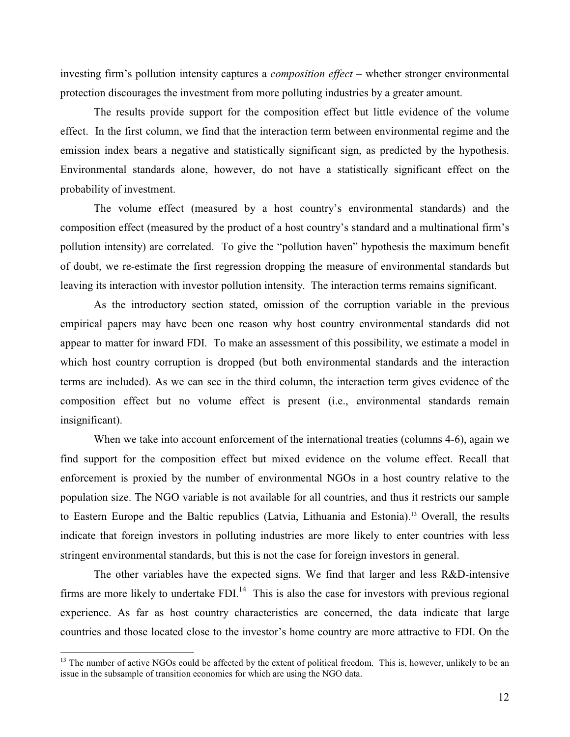investing firm's pollution intensity captures a *composition effect* – whether stronger environmental protection discourages the investment from more polluting industries by a greater amount.

The results provide support for the composition effect but little evidence of the volume effect. In the first column, we find that the interaction term between environmental regime and the emission index bears a negative and statistically significant sign, as predicted by the hypothesis. Environmental standards alone, however, do not have a statistically significant effect on the probability of investment.

The volume effect (measured by a host country's environmental standards) and the composition effect (measured by the product of a host country's standard and a multinational firm's pollution intensity) are correlated. To give the "pollution haven" hypothesis the maximum benefit of doubt, we re-estimate the first regression dropping the measure of environmental standards but leaving its interaction with investor pollution intensity. The interaction terms remains significant.

As the introductory section stated, omission of the corruption variable in the previous empirical papers may have been one reason why host country environmental standards did not appear to matter for inward FDI. To make an assessment of this possibility, we estimate a model in which host country corruption is dropped (but both environmental standards and the interaction terms are included). As we can see in the third column, the interaction term gives evidence of the composition effect but no volume effect is present (i.e., environmental standards remain insignificant).

When we take into account enforcement of the international treaties (columns 4-6), again we find support for the composition effect but mixed evidence on the volume effect. Recall that enforcement is proxied by the number of environmental NGOs in a host country relative to the population size. The NGO variable is not available for all countries, and thus it restricts our sample to Eastern Europe and the Baltic republics (Latvia, Lithuania and Estonia).<sup>13</sup> Overall, the results indicate that foreign investors in polluting industries are more likely to enter countries with less stringent environmental standards, but this is not the case for foreign investors in general.

The other variables have the expected signs. We find that larger and less R&D-intensive firms are more likely to undertake  $FDI<sub>14</sub>$ . This is also the case for investors with previous regional experience. As far as host country characteristics are concerned, the data indicate that large countries and those located close to the investor's home country are more attractive to FDI. On the

<sup>&</sup>lt;sup>13</sup> The number of active NGOs could be affected by the extent of political freedom. This is, however, unlikely to be an issue in the subsample of transition economies for which are using the NGO data.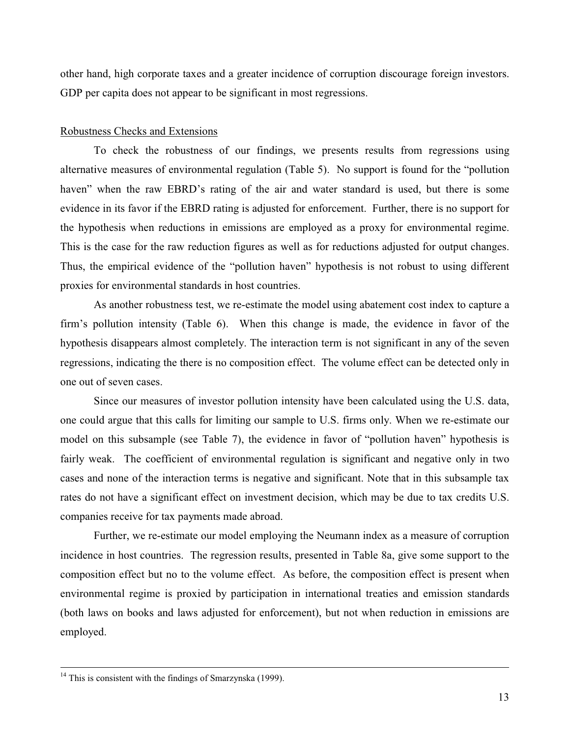other hand, high corporate taxes and a greater incidence of corruption discourage foreign investors. GDP per capita does not appear to be significant in most regressions.

# Robustness Checks and Extensions

To check the robustness of our findings, we presents results from regressions using alternative measures of environmental regulation (Table 5). No support is found for the "pollution haven" when the raw EBRD's rating of the air and water standard is used, but there is some evidence in its favor if the EBRD rating is adjusted for enforcement. Further, there is no support for the hypothesis when reductions in emissions are employed as a proxy for environmental regime. This is the case for the raw reduction figures as well as for reductions adjusted for output changes. Thus, the empirical evidence of the "pollution haven" hypothesis is not robust to using different proxies for environmental standards in host countries.

As another robustness test, we re-estimate the model using abatement cost index to capture a firm's pollution intensity (Table 6). When this change is made, the evidence in favor of the hypothesis disappears almost completely. The interaction term is not significant in any of the seven regressions, indicating the there is no composition effect. The volume effect can be detected only in one out of seven cases.

Since our measures of investor pollution intensity have been calculated using the U.S. data, one could argue that this calls for limiting our sample to U.S. firms only. When we re-estimate our model on this subsample (see Table 7), the evidence in favor of "pollution haven" hypothesis is fairly weak. The coefficient of environmental regulation is significant and negative only in two cases and none of the interaction terms is negative and significant. Note that in this subsample tax rates do not have a significant effect on investment decision, which may be due to tax credits U.S. companies receive for tax payments made abroad.

Further, we re-estimate our model employing the Neumann index as a measure of corruption incidence in host countries. The regression results, presented in Table 8a, give some support to the composition effect but no to the volume effect. As before, the composition effect is present when environmental regime is proxied by participation in international treaties and emission standards (both laws on books and laws adjusted for enforcement), but not when reduction in emissions are employed.

 $14$  This is consistent with the findings of Smarzynska (1999).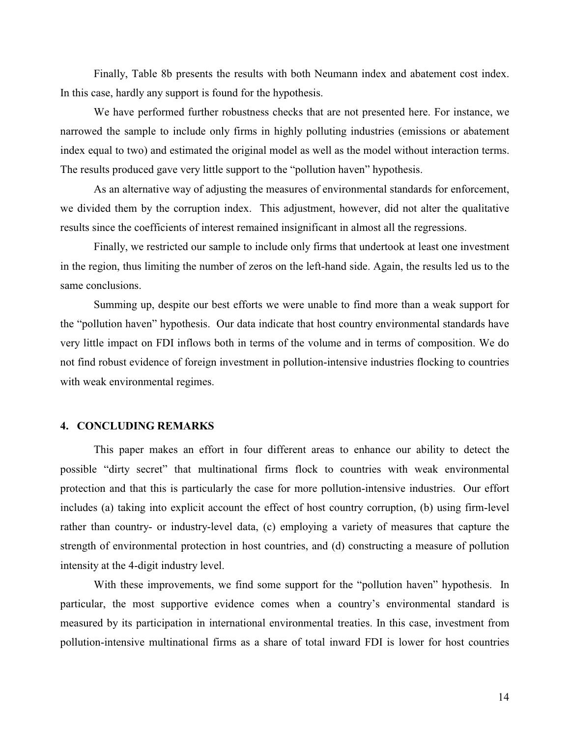Finally, Table 8b presents the results with both Neumann index and abatement cost index. In this case, hardly any support is found for the hypothesis.

We have performed further robustness checks that are not presented here. For instance, we narrowed the sample to include only firms in highly polluting industries (emissions or abatement index equal to two) and estimated the original model as well as the model without interaction terms. The results produced gave very little support to the "pollution haven" hypothesis.

As an alternative way of adjusting the measures of environmental standards for enforcement, we divided them by the corruption index. This adjustment, however, did not alter the qualitative results since the coefficients of interest remained insignificant in almost all the regressions.

Finally, we restricted our sample to include only firms that undertook at least one investment in the region, thus limiting the number of zeros on the left-hand side. Again, the results led us to the same conclusions.

Summing up, despite our best efforts we were unable to find more than a weak support for the "pollution haven" hypothesis. Our data indicate that host country environmental standards have very little impact on FDI inflows both in terms of the volume and in terms of composition. We do not find robust evidence of foreign investment in pollution-intensive industries flocking to countries with weak environmental regimes.

# **4. CONCLUDING REMARKS**

This paper makes an effort in four different areas to enhance our ability to detect the possible "dirty secret" that multinational firms flock to countries with weak environmental protection and that this is particularly the case for more pollution-intensive industries. Our effort includes (a) taking into explicit account the effect of host country corruption, (b) using firm-level rather than country- or industry-level data, (c) employing a variety of measures that capture the strength of environmental protection in host countries, and (d) constructing a measure of pollution intensity at the 4-digit industry level.

With these improvements, we find some support for the "pollution haven" hypothesis. In particular, the most supportive evidence comes when a country's environmental standard is measured by its participation in international environmental treaties. In this case, investment from pollution-intensive multinational firms as a share of total inward FDI is lower for host countries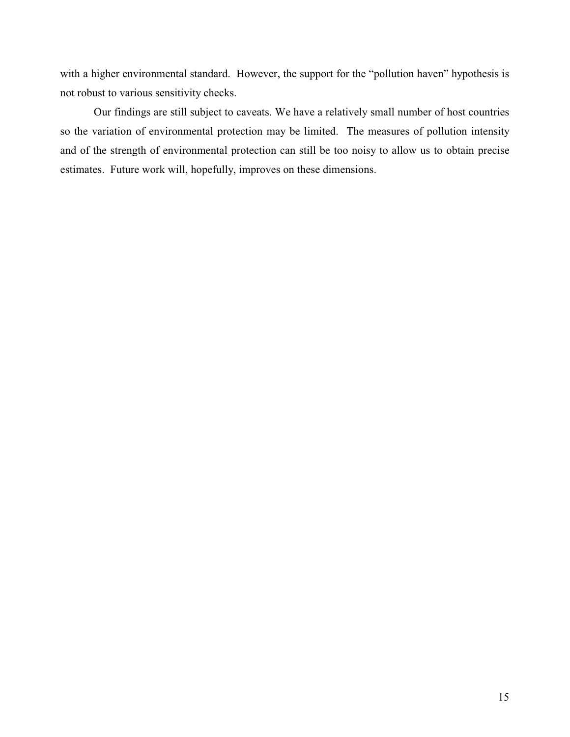with a higher environmental standard. However, the support for the "pollution haven" hypothesis is not robust to various sensitivity checks.

Our findings are still subject to caveats. We have a relatively small number of host countries so the variation of environmental protection may be limited. The measures of pollution intensity and of the strength of environmental protection can still be too noisy to allow us to obtain precise estimates. Future work will, hopefully, improves on these dimensions.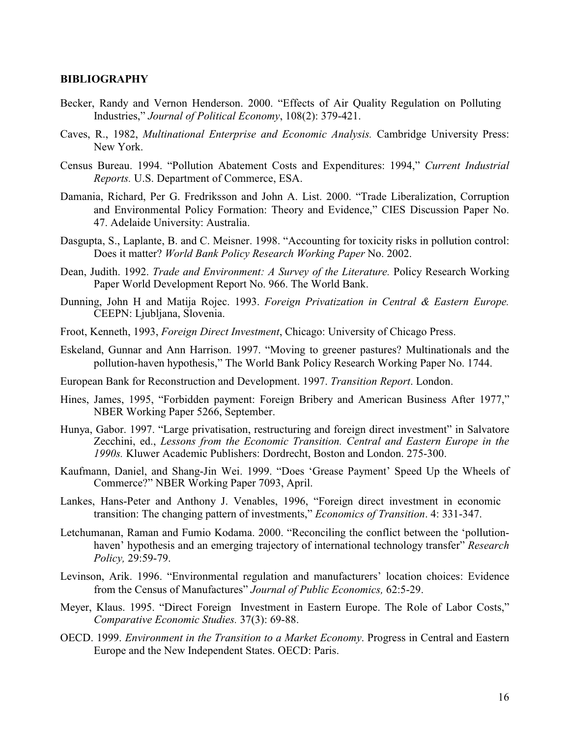# **BIBLIOGRAPHY**

- Becker, Randy and Vernon Henderson. 2000. "Effects of Air Quality Regulation on Polluting Industries," Journal of Political Economy, 108(2): 379-421.
- Caves, R., 1982, Multinational Enterprise and Economic Analysis. Cambridge University Press: New York.
- Census Bureau. 1994. "Pollution Abatement Costs and Expenditures: 1994," Current Industrial Reports. U.S. Department of Commerce, ESA.
- Damania, Richard, Per G. Fredriksson and John A. List. 2000. "Trade Liberalization, Corruption and Environmental Policy Formation: Theory and Evidence," CIES Discussion Paper No. 47. Adelaide University: Australia.
- Dasgupta, S., Laplante, B. and C. Meisner. 1998. "Accounting for toxicity risks in pollution control: Does it matter? World Bank Policy Research Working Paper No. 2002.
- Dean, Judith. 1992. Trade and Environment: A Survey of the Literature. Policy Research Working Paper World Development Report No. 966. The World Bank.
- Dunning, John H and Matija Rojec. 1993. Foreign Privatization in Central & Eastern Europe. CEEPN: Ljubljana, Slovenia.
- Froot, Kenneth, 1993, Foreign Direct Investment, Chicago: University of Chicago Press.
- Eskeland, Gunnar and Ann Harrison. 1997. "Moving to greener pastures? Multinationals and the pollution-haven hypothesis," The World Bank Policy Research Working Paper No. 1744.
- European Bank for Reconstruction and Development. 1997. Transition Report. London.
- Hines, James, 1995, "Forbidden payment: Foreign Bribery and American Business After 1977," NBER Working Paper 5266, September.
- Hunya, Gabor. 1997. "Large privatisation, restructuring and foreign direct investment" in Salvatore Zecchini, ed., Lessons from the Economic Transition. Central and Eastern Europe in the 1990s. Kluwer Academic Publishers: Dordrecht, Boston and London. 275-300.
- Kaufmann, Daniel, and Shang-Jin Wei. 1999. "Does 'Grease Payment' Speed Up the Wheels of Commerce?" NBER Working Paper 7093, April.
- Lankes, Hans-Peter and Anthony J. Venables, 1996, "Foreign direct investment in economic transition: The changing pattern of investments," *Economics of Transition*. 4: 331-347.
- Letchumanan, Raman and Fumio Kodama. 2000. "Reconciling the conflict between the 'pollutionhaven' hypothesis and an emerging trajectory of international technology transfer" Research Policy, 29:59-79.
- Levinson, Arik. 1996. "Environmental regulation and manufacturers' location choices: Evidence from the Census of Manufactures" Journal of Public Economics, 62:5-29.
- Meyer, Klaus. 1995. "Direct Foreign Investment in Eastern Europe. The Role of Labor Costs," Comparative Economic Studies. 37(3): 69-88.
- OECD. 1999. Environment in the Transition to a Market Economy. Progress in Central and Eastern Europe and the New Independent States. OECD: Paris.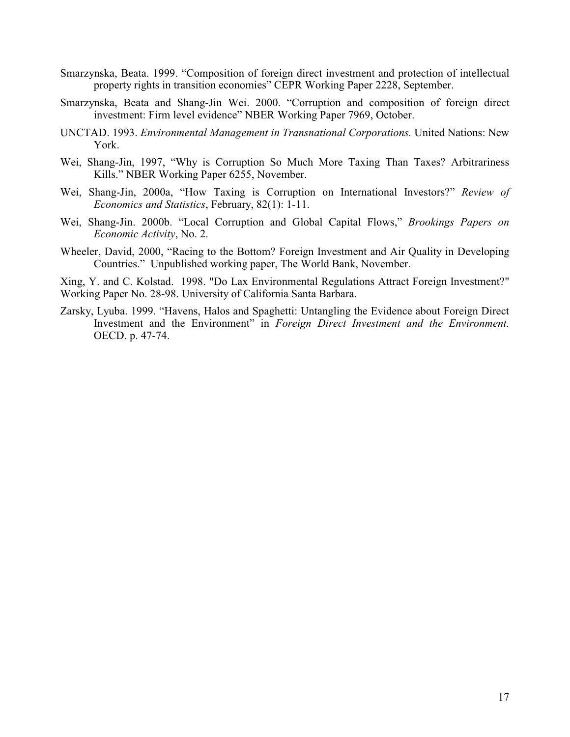- Smarzynska, Beata. 1999. "Composition of foreign direct investment and protection of intellectual property rights in transition economies" CEPR Working Paper 2228, September.
- Smarzynska, Beata and Shang-Jin Wei. 2000. "Corruption and composition of foreign direct investment: Firm level evidence" NBER Working Paper 7969, October.
- UNCTAD. 1993. Environmental Management in Transnational Corporations. United Nations: New York.
- Wei, Shang-Jin, 1997, "Why is Corruption So Much More Taxing Than Taxes? Arbitrariness Kills." NBER Working Paper 6255, November.
- Wei, Shang-Jin, 2000a, "How Taxing is Corruption on International Investors?" Review of Economics and Statistics, February, 82(1): 1-11.
- Wei, Shang-Jin. 2000b. "Local Corruption and Global Capital Flows," Brookings Papers on Economic Activity, No. 2.
- Wheeler, David, 2000, "Racing to the Bottom? Foreign Investment and Air Quality in Developing Countries." Unpublished working paper, The World Bank, November.

Xing, Y. and C. Kolstad. 1998. "Do Lax Environmental Regulations Attract Foreign Investment?" Working Paper No. 28-98. University of California Santa Barbara.

Zarsky, Lyuba. 1999. "Havens, Halos and Spaghetti: Untangling the Evidence about Foreign Direct Investment and the Environment" in Foreign Direct Investment and the Environment. OECD. p. 47-74.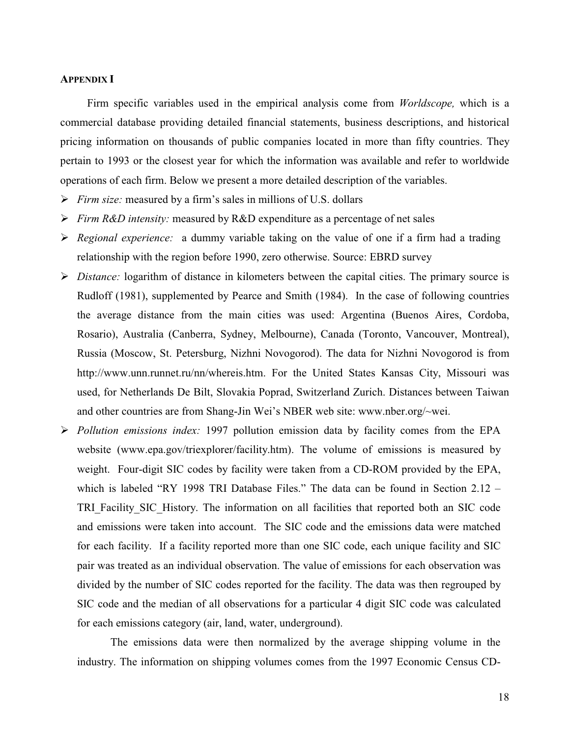## **APPENDIX I**

Firm specific variables used in the empirical analysis come from *Worldscope*, which is a commercial database providing detailed financial statements, business descriptions, and historical pricing information on thousands of public companies located in more than fifty countries. They pertain to 1993 or the closest year for which the information was available and refer to worldwide operations of each firm. Below we present a more detailed description of the variables.

- $\triangleright$  Firm size: measured by a firm's sales in millions of U.S. dollars
- Firm R&D intensity: measured by R&D expenditure as a percentage of net sales
- $\triangleright$  Regional experience: a dummy variable taking on the value of one if a firm had a trading relationship with the region before 1990, zero otherwise. Source: EBRD survey
- $\triangleright$  Distance: logarithm of distance in kilometers between the capital cities. The primary source is Rudloff (1981), supplemented by Pearce and Smith (1984). In the case of following countries the average distance from the main cities was used: Argentina (Buenos Aires, Cordoba, Rosario), Australia (Canberra, Sydney, Melbourne), Canada (Toronto, Vancouver, Montreal), Russia (Moscow, St. Petersburg, Nizhni Novogorod). The data for Nizhni Novogorod is from http://www.unn.runnet.ru/nn/whereis.htm. For the United States Kansas City, Missouri was used, for Netherlands De Bilt, Slovakia Poprad, Switzerland Zurich. Distances between Taiwan and other countries are from Shang-Jin Wei's NBER web site: www.nber.org/~wei.
- $\triangleright$  *Pollution emissions index:* 1997 pollution emission data by facility comes from the EPA website (www.epa.gov/triexplorer/facility.htm). The volume of emissions is measured by weight. Four-digit SIC codes by facility were taken from a CD-ROM provided by the EPA, which is labeled "RY 1998 TRI Database Files." The data can be found in Section  $2.12 -$ TRI Facility SIC History. The information on all facilities that reported both an SIC code and emissions were taken into account. The SIC code and the emissions data were matched for each facility. If a facility reported more than one SIC code, each unique facility and SIC pair was treated as an individual observation. The value of emissions for each observation was divided by the number of SIC codes reported for the facility. The data was then regrouped by SIC code and the median of all observations for a particular 4 digit SIC code was calculated for each emissions category (air, land, water, underground).

The emissions data were then normalized by the average shipping volume in the industry. The information on shipping volumes comes from the 1997 Economic Census CD-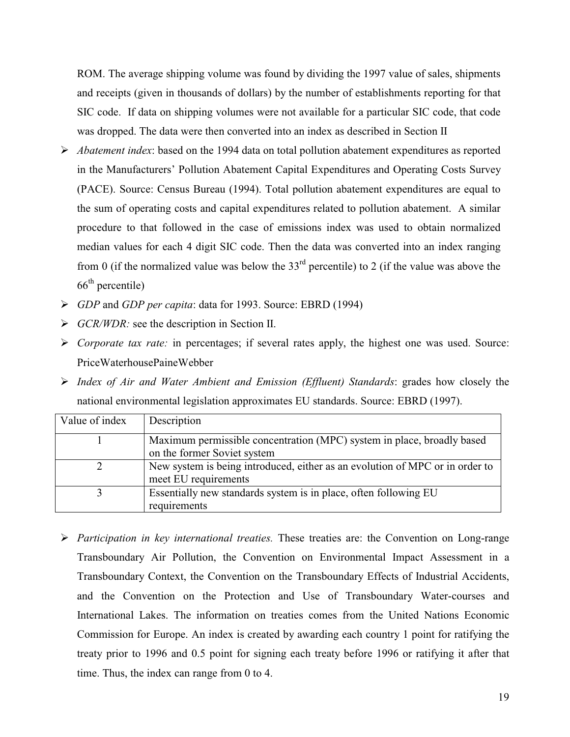ROM. The average shipping volume was found by dividing the 1997 value of sales, shipments and receipts (given in thousands of dollars) by the number of establishments reporting for that SIC code. If data on shipping volumes were not available for a particular SIC code, that code was dropped. The data were then converted into an index as described in Section II

- $\triangleright$  Abatement index: based on the 1994 data on total pollution abatement expenditures as reported in the Manufacturers' Pollution Abatement Capital Expenditures and Operating Costs Survey (PACE). Source: Census Bureau (1994). Total pollution abatement expenditures are equal to the sum of operating costs and capital expenditures related to pollution abatement. A similar procedure to that followed in the case of emissions index was used to obtain normalized median values for each 4 digit SIC code. Then the data was converted into an index ranging from 0 (if the normalized value was below the  $33<sup>rd</sup>$  percentile) to 2 (if the value was above the  $66^{\text{th}}$  percentile)
- > GDP and GDP per capita: data for 1993. Source: EBRD (1994)
- $\triangleright$  *GCR/WDR:* see the description in Section II.
- $\triangleright$  Corporate tax rate: in percentages; if several rates apply, the highest one was used. Source: PriceWaterhousePaineWebber
- $\triangleright$  Index of Air and Water Ambient and Emission (Effluent) Standards: grades how closely the national environmental legislation approximates EU standards. Source: EBRD (1997).

| Value of index | Description                                                                  |
|----------------|------------------------------------------------------------------------------|
|                | Maximum permissible concentration (MPC) system in place, broadly based       |
|                | on the former Soviet system                                                  |
|                | New system is being introduced, either as an evolution of MPC or in order to |
|                | meet EU requirements                                                         |
|                | Essentially new standards system is in place, often following EU             |
|                | requirements                                                                 |

 $\triangleright$  Participation in key international treaties. These treaties are: the Convention on Long-range Transboundary Air Pollution, the Convention on Environmental Impact Assessment in a Transboundary Context, the Convention on the Transboundary Effects of Industrial Accidents, and the Convention on the Protection and Use of Transboundary Water-courses and International Lakes. The information on treaties comes from the United Nations Economic Commission for Europe. An index is created by awarding each country 1 point for ratifying the treaty prior to 1996 and 0.5 point for signing each treaty before 1996 or ratifying it after that time. Thus, the index can range from 0 to 4.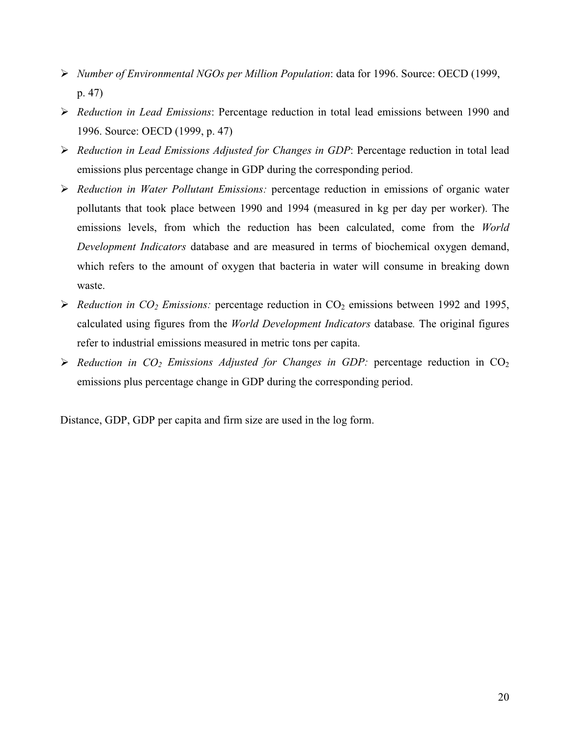- $\triangleright$  Number of Environmental NGOs per Million Population: data for 1996. Source: OECD (1999,  $p. 47)$
- > Reduction in Lead Emissions: Percentage reduction in total lead emissions between 1990 and 1996. Source: OECD (1999, p. 47)
- > Reduction in Lead Emissions Adjusted for Changes in GDP: Percentage reduction in total lead emissions plus percentage change in GDP during the corresponding period.
- $\triangleright$  Reduction in Water Pollutant Emissions: percentage reduction in emissions of organic water pollutants that took place between 1990 and 1994 (measured in kg per day per worker). The emissions levels, from which the reduction has been calculated, come from the World Development Indicators database and are measured in terms of biochemical oxygen demand, which refers to the amount of oxygen that bacteria in water will consume in breaking down waste.
- Reduction in  $CO_2$  Emissions: percentage reduction in  $CO_2$  emissions between 1992 and 1995, calculated using figures from the World Development Indicators database. The original figures refer to industrial emissions measured in metric tons per capita.
- $\triangleright$  Reduction in CO<sub>2</sub> Emissions Adjusted for Changes in GDP: percentage reduction in CO<sub>2</sub> emissions plus percentage change in GDP during the corresponding period.

Distance, GDP, GDP per capita and firm size are used in the log form.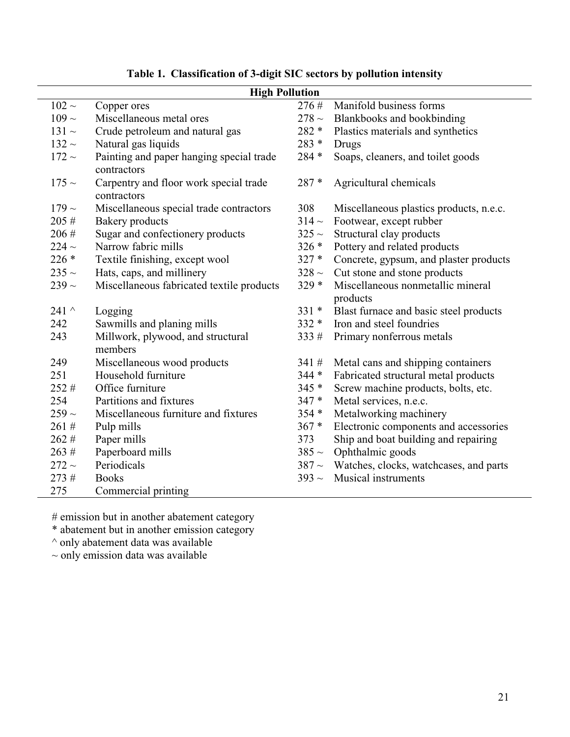|              | <b>High Pollution</b>                                   |            |                                               |
|--------------|---------------------------------------------------------|------------|-----------------------------------------------|
| $102 \sim$   | Copper ores                                             | 276#       | Manifold business forms                       |
| $109 \sim$   | Miscellaneous metal ores                                | 278 $\sim$ | Blankbooks and bookbinding                    |
| $131 \sim$   | Crude petroleum and natural gas                         | $282 *$    | Plastics materials and synthetics             |
| $132 \sim$   | Natural gas liquids                                     | 283 *      | Drugs                                         |
| $172 \sim$   | Painting and paper hanging special trade<br>contractors | 284 *      | Soaps, cleaners, and toilet goods             |
| $175 \sim$   | Carpentry and floor work special trade<br>contractors   | 287 *      | Agricultural chemicals                        |
| $179 \sim$   | Miscellaneous special trade contractors                 | 308        | Miscellaneous plastics products, n.e.c.       |
| 205#         | <b>Bakery</b> products                                  | $314-$     | Footwear, except rubber                       |
| 206#         | Sugar and confectionery products                        | $325 \sim$ | Structural clay products                      |
| $224 \sim$   | Narrow fabric mills                                     | $326*$     | Pottery and related products                  |
| $226*$       | Textile finishing, except wool                          | $327*$     | Concrete, gypsum, and plaster products        |
| $235 \sim$   | Hats, caps, and millinery                               | $328 \sim$ | Cut stone and stone products                  |
| $239 \sim$   | Miscellaneous fabricated textile products               | $329*$     | Miscellaneous nonmetallic mineral<br>products |
| 241 $\wedge$ | Logging                                                 | $331 *$    | Blast furnace and basic steel products        |
| 242          | Sawmills and planing mills                              | $332 *$    | Iron and steel foundries                      |
| 243          | Millwork, plywood, and structural<br>members            | 333#       | Primary nonferrous metals                     |
| 249          | Miscellaneous wood products                             | 341#       | Metal cans and shipping containers            |
| 251          | Household furniture                                     | $344*$     | Fabricated structural metal products          |
| 252#         | Office furniture                                        | 345 *      | Screw machine products, bolts, etc.           |
| 254          | Partitions and fixtures                                 | $347*$     | Metal services, n.e.c.                        |
| $259 \sim$   | Miscellaneous furniture and fixtures                    | 354 *      | Metalworking machinery                        |
| 261#         | Pulp mills                                              | $367 *$    | Electronic components and accessories         |
| 262#         | Paper mills                                             | 373        | Ship and boat building and repairing          |
| 263#         | Paperboard mills                                        | $385 \sim$ | Ophthalmic goods                              |
| $272 \sim$   | Periodicals                                             | $387 \sim$ | Watches, clocks, watchcases, and parts        |
| 273#         | <b>Books</b>                                            | $393 \sim$ | <b>Musical instruments</b>                    |
| 275          | Commercial printing                                     |            |                                               |

# Table 1. Classification of 3-digit SIC sectors by pollution intensity

 $\#$  emission but in another abatement category<br>  $\ast$  abatement but in another emission category

 $^\wedge$  only abatement data was available

 $\sim$  only emission data was available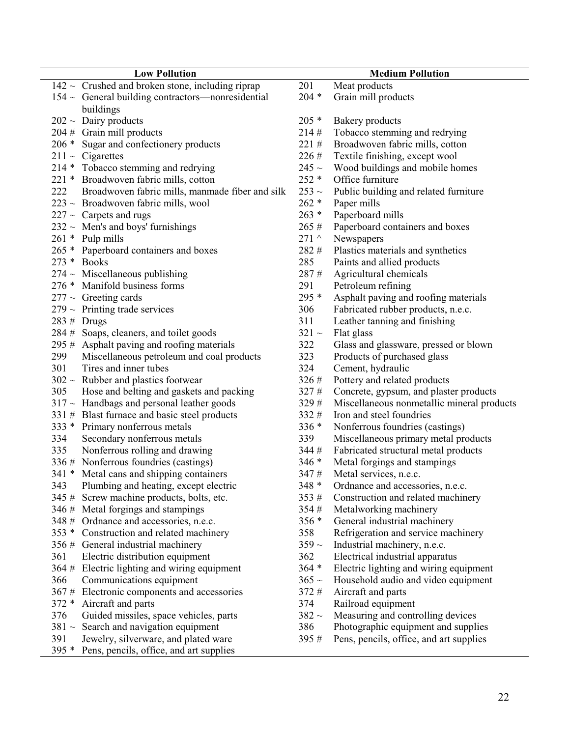| <b>Low Pollution</b>                                   |              | <b>Medium Pollution</b>                    |
|--------------------------------------------------------|--------------|--------------------------------------------|
| $142 \sim$ Crushed and broken stone, including riprap  | 201          | Meat products                              |
| $154 \sim$ General building contractors—nonresidential | $204 *$      | Grain mill products                        |
| buildings                                              |              |                                            |
| $202 \sim$ Dairy products                              | $205*$       | Bakery products                            |
| $204$ # Grain mill products                            | 214#         | Tobacco stemming and redrying              |
| 206 * Sugar and confectionery products                 | 221#         | Broadwoven fabric mills, cotton            |
| $211 \sim$ Cigarettes                                  | 226 #        | Textile finishing, except wool             |
| 214 * Tobacco stemming and redrying                    | 245 $\sim$   | Wood buildings and mobile homes            |
| 221 * Broadwoven fabric mills, cotton                  | $252 *$      | Office furniture                           |
| 222<br>Broadwoven fabric mills, manmade fiber and silk | 253 $\sim$   | Public building and related furniture      |
| $223 \sim$ Broadwoven fabric mills, wool               | $262 *$      | Paper mills                                |
| $227 \sim$ Carpets and rugs                            | $263 *$      | Paperboard mills                           |
| $232 \sim$ Men's and boys' furnishings                 | 265#         | Paperboard containers and boxes            |
| 261 * Pulp mills                                       | 271 $\wedge$ | Newspapers                                 |
| Paperboard containers and boxes<br>$265 *$             | 282 #        | Plastics materials and synthetics          |
| 273 * Books                                            | 285          | Paints and allied products                 |
| $274 \sim$ Miscellaneous publishing                    | 287#         | Agricultural chemicals                     |
| Manifold business forms<br>$276*$                      | 291          | Petroleum refining                         |
| $277 \sim$ Greeting cards                              | 295 *        | Asphalt paving and roofing materials       |
| $279 \sim$ Printing trade services                     | 306          | Fabricated rubber products, n.e.c.         |
| $283 \#$ Drugs                                         | 311          | Leather tanning and finishing              |
| 284 # Soaps, cleaners, and toilet goods                | $321 \sim$   | Flat glass                                 |
| Asphalt paving and roofing materials<br>295#           | 322          | Glass and glassware, pressed or blown      |
| 299<br>Miscellaneous petroleum and coal products       | 323          | Products of purchased glass                |
| 301<br>Tires and inner tubes                           | 324          | Cement, hydraulic                          |
| $302 \sim$ Rubber and plastics footwear                | 326#         | Pottery and related products               |
| 305<br>Hose and belting and gaskets and packing        | 327#         | Concrete, gypsum, and plaster products     |
| $317 \sim$ Handbags and personal leather goods         | 329 #        | Miscellaneous nonmetallic mineral products |
| 331 # Blast furnace and basic steel products           | 332 #        | Iron and steel foundries                   |
| Primary nonferrous metals<br>$333*$                    | $336*$       | Nonferrous foundries (castings)            |
| Secondary nonferrous metals<br>334                     | 339          | Miscellaneous primary metal products       |
| 335<br>Nonferrous rolling and drawing                  | 344#         | Fabricated structural metal products       |
| 336 # Nonferrous foundries (castings)                  | $346*$       | Metal forgings and stampings               |
| 341 * Metal cans and shipping containers               | 347#         | Metal services, n.e.c.                     |
| Plumbing and heating, except electric<br>343           | $348 *$      | Ordnance and accessories, n.e.c.           |
| Screw machine products, bolts, etc.<br>345#            | 353#         | Construction and related machinery         |
| Metal forgings and stampings<br>346#                   | 354#         | Metalworking machinery                     |
| 348 # Ordnance and accessories, n.e.c.                 | 356 *        | General industrial machinery               |
| $353*$<br>Construction and related machinery           | 358          | Refrigeration and service machinery        |
| 356#<br>General industrial machinery                   | $359 \sim$   | Industrial machinery, n.e.c.               |
| 361<br>Electric distribution equipment                 | 362          | Electrical industrial apparatus            |
| Electric lighting and wiring equipment<br>364#         | $364 *$      | Electric lighting and wiring equipment     |
| Communications equipment<br>366                        | $365 \sim$   | Household audio and video equipment        |
| 367#<br>Electronic components and accessories          | 372#         | Aircraft and parts                         |
| $372 *$<br>Aircraft and parts                          | 374          | Railroad equipment                         |
| 376<br>Guided missiles, space vehicles, parts          | 382 $\sim$   | Measuring and controlling devices          |
| $381 -$<br>Search and navigation equipment             | 386          | Photographic equipment and supplies        |
| 391<br>Jewelry, silverware, and plated ware            | 395#         | Pens, pencils, office, and art supplies    |
| $395*$<br>Pens, pencils, office, and art supplies      |              |                                            |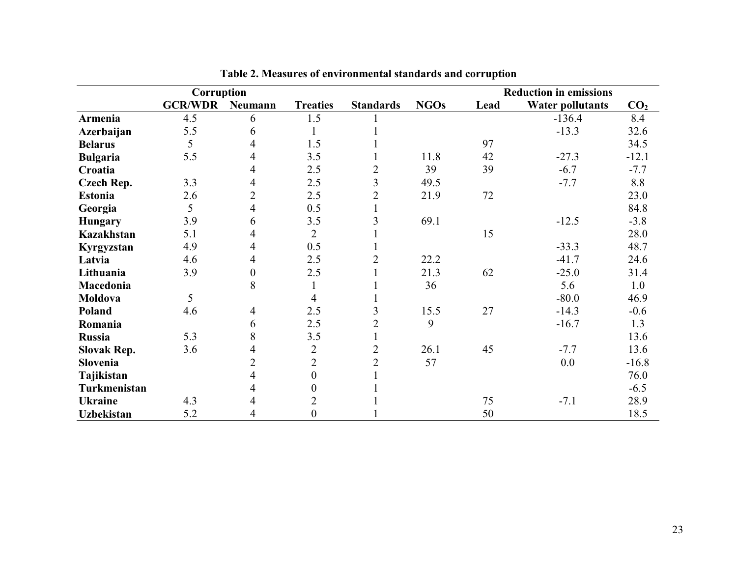|                    | Corruption     |                  |                  |                  |             |      | <b>Reduction in emissions</b> |                 |
|--------------------|----------------|------------------|------------------|------------------|-------------|------|-------------------------------|-----------------|
|                    | <b>GCR/WDR</b> | Neumann          | <b>Treaties</b>  | <b>Standards</b> | <b>NGOs</b> | Lead | <b>Water pollutants</b>       | CO <sub>2</sub> |
| Armenia            | 4.5            | 6                | 1.5              |                  |             |      | $-136.4$                      | 8.4             |
| Azerbaijan         | 5.5            | 6                |                  |                  |             |      | $-13.3$                       | 32.6            |
| <b>Belarus</b>     | 5              | 4                | 1.5              |                  |             | 97   |                               | 34.5            |
| <b>Bulgaria</b>    | 5.5            | 4                | 3.5              | 1                | 11.8        | 42   | $-27.3$                       | $-12.1$         |
| Croatia            |                | 4                | 2.5              | $\overline{2}$   | 39          | 39   | $-6.7$                        | $-7.7$          |
| <b>Czech Rep.</b>  | 3.3            | 4                | 2.5              | $\overline{3}$   | 49.5        |      | $-7.7$                        | 8.8             |
| <b>Estonia</b>     | 2.6            | $\overline{2}$   | 2.5              | $\overline{2}$   | 21.9        | 72   |                               | 23.0            |
| Georgia            | 5              | $\overline{4}$   | 0.5              | $\mathbf{1}$     |             |      |                               | 84.8            |
| <b>Hungary</b>     | 3.9            | 6                | 3.5              | $\overline{3}$   | 69.1        |      | $-12.5$                       | $-3.8$          |
| <b>Kazakhstan</b>  | 5.1            | 4                | $\overline{2}$   |                  |             | 15   |                               | 28.0            |
| Kyrgyzstan         | 4.9            | $\overline{4}$   | 0.5              | 1                |             |      | $-33.3$                       | 48.7            |
| Latvia             | 4.6            | 4                | 2.5              | $\overline{2}$   | 22.2        |      | $-41.7$                       | 24.6            |
| Lithuania          | 3.9            | $\boldsymbol{0}$ | 2.5              | $\mathbf{1}$     | 21.3        | 62   | $-25.0$                       | 31.4            |
| Macedonia          |                | 8                |                  |                  | 36          |      | 5.6                           | 1.0             |
| Moldova            | 5              |                  | $\overline{4}$   | 1                |             |      | $-80.0$                       | 46.9            |
| Poland             | 4.6            | $\overline{4}$   | 2.5              | 3                | 15.5        | 27   | $-14.3$                       | $-0.6$          |
| Romania            |                | 6                | 2.5              | $\overline{2}$   | 9           |      | $-16.7$                       | 1.3             |
| <b>Russia</b>      | 5.3            | 8                | 3.5              | 1                |             |      |                               | 13.6            |
| <b>Slovak Rep.</b> | 3.6            | 4                | $\overline{2}$   | $\overline{2}$   | 26.1        | 45   | $-7.7$                        | 13.6            |
| Slovenia           |                | $\overline{2}$   | $\overline{2}$   | $\mathfrak{2}$   | 57          |      | 0.0                           | $-16.8$         |
| Tajikistan         |                | 4                | $\boldsymbol{0}$ |                  |             |      |                               | 76.0            |
| Turkmenistan       |                | 4                | $\boldsymbol{0}$ |                  |             |      |                               | $-6.5$          |
| <b>Ukraine</b>     | 4.3            | 4                | $\overline{2}$   |                  |             | 75   | $-7.1$                        | 28.9            |
| <b>Uzbekistan</b>  | 5.2            | 4                | $\boldsymbol{0}$ |                  |             | 50   |                               | 18.5            |

Table 2. Measures of environmental standards and corruption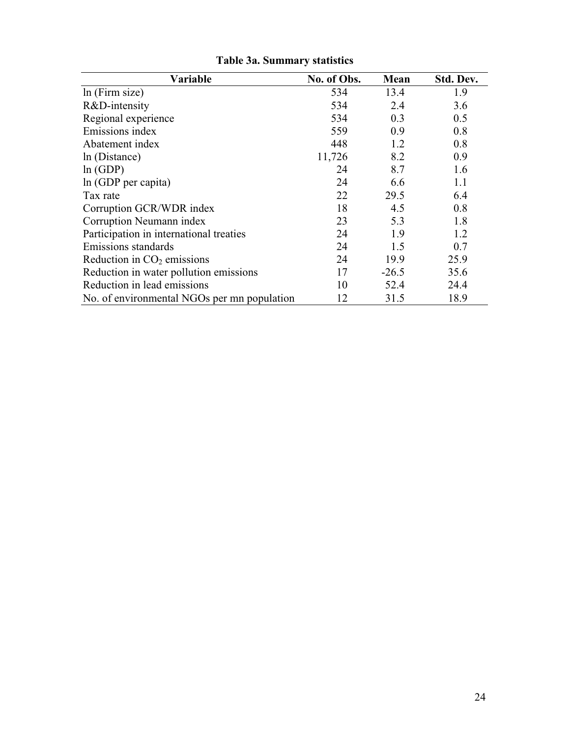| Variable                                    | No. of Obs. | Mean    | Std. Dev. |
|---------------------------------------------|-------------|---------|-----------|
| ln (Firm size)                              | 534         | 13.4    | 1.9       |
| R&D-intensity                               | 534         | 2.4     | 3.6       |
| Regional experience                         | 534         | 0.3     | 0.5       |
| Emissions index                             | 559         | 0.9     | 0.8       |
| Abatement index                             | 448         | 1.2     | 0.8       |
| ln (Distance)                               | 11,726      | 8.2     | 0.9       |
| ln(GDP)                                     | 24          | 8.7     | 1.6       |
| ln (GDP per capita)                         | 24          | 6.6     | 1.1       |
| Tax rate                                    | 22          | 29.5    | 6.4       |
| Corruption GCR/WDR index                    | 18          | 4.5     | 0.8       |
| Corruption Neumann index                    | 23          | 5.3     | 1.8       |
| Participation in international treaties     | 24          | 1.9     | 1.2       |
| Emissions standards                         | 24          | 1.5     | 0.7       |
| Reduction in $CO2$ emissions                | 24          | 19.9    | 25.9      |
| Reduction in water pollution emissions      | 17          | $-26.5$ | 35.6      |
| Reduction in lead emissions                 | 10          | 52.4    | 24.4      |
| No. of environmental NGOs per mn population | 12          | 31.5    | 18.9      |

Table 3a. Summary statistics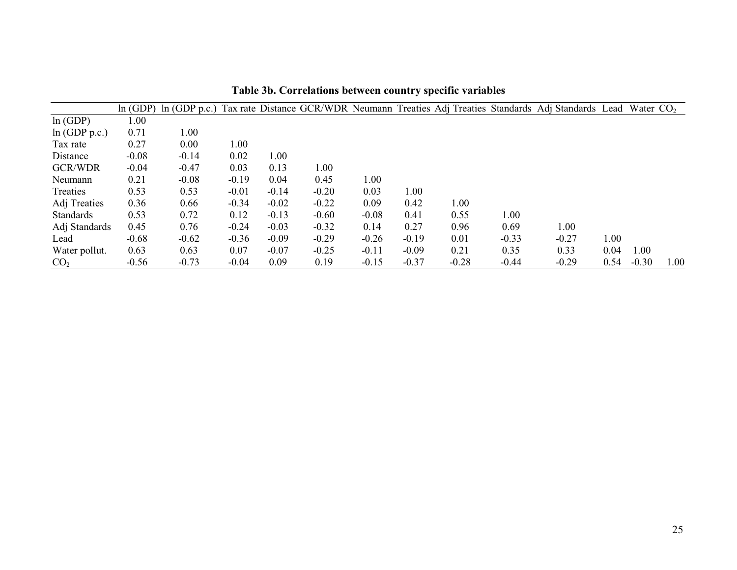|                  |         |         |         |         |         |         |         |         |         | In (GDP) In (GDP p.c.) Tax rate Distance GCR/WDR Neumann Treaties Adj Treaties Standards Adj Standards Lead |      | Water $CO2$ |      |
|------------------|---------|---------|---------|---------|---------|---------|---------|---------|---------|-------------------------------------------------------------------------------------------------------------|------|-------------|------|
| ln(GDP)          | 1.00    |         |         |         |         |         |         |         |         |                                                                                                             |      |             |      |
| ln(GDP p.c.)     | 0.71    | 1.00    |         |         |         |         |         |         |         |                                                                                                             |      |             |      |
| Tax rate         | 0.27    | 0.00    | 1.00    |         |         |         |         |         |         |                                                                                                             |      |             |      |
| Distance         | $-0.08$ | $-0.14$ | 0.02    | 1.00    |         |         |         |         |         |                                                                                                             |      |             |      |
| <b>GCR/WDR</b>   | $-0.04$ | $-0.47$ | 0.03    | 0.13    | 1.00    |         |         |         |         |                                                                                                             |      |             |      |
| Neumann          | 0.21    | $-0.08$ | $-0.19$ | 0.04    | 0.45    | 1.00    |         |         |         |                                                                                                             |      |             |      |
| Treaties         | 0.53    | 0.53    | $-0.01$ | $-0.14$ | $-0.20$ | 0.03    | 1.00    |         |         |                                                                                                             |      |             |      |
| Adj Treaties     | 0.36    | 0.66    | $-0.34$ | $-0.02$ | $-0.22$ | 0.09    | 0.42    | 1.00    |         |                                                                                                             |      |             |      |
| <b>Standards</b> | 0.53    | 0.72    | 0.12    | $-0.13$ | $-0.60$ | $-0.08$ | 0.41    | 0.55    | 1.00    |                                                                                                             |      |             |      |
| Adj Standards    | 0.45    | 0.76    | $-0.24$ | $-0.03$ | $-0.32$ | 0.14    | 0.27    | 0.96    | 0.69    | 1.00                                                                                                        |      |             |      |
| Lead             | $-0.68$ | $-0.62$ | $-0.36$ | $-0.09$ | $-0.29$ | $-0.26$ | $-0.19$ | 0.01    | $-0.33$ | $-0.27$                                                                                                     | 1.00 |             |      |
| Water pollut.    | 0.63    | 0.63    | 0.07    | $-0.07$ | $-0.25$ | $-0.11$ | $-0.09$ | 0.21    | 0.35    | 0.33                                                                                                        | 0.04 | 1.00        |      |
| CO <sub>2</sub>  | $-0.56$ | $-0.73$ | $-0.04$ | 0.09    | 0.19    | $-0.15$ | $-0.37$ | $-0.28$ | $-0.44$ | $-0.29$                                                                                                     | 0.54 | $-0.30$     | 1.00 |

Table 3b. Correlations between country specific variables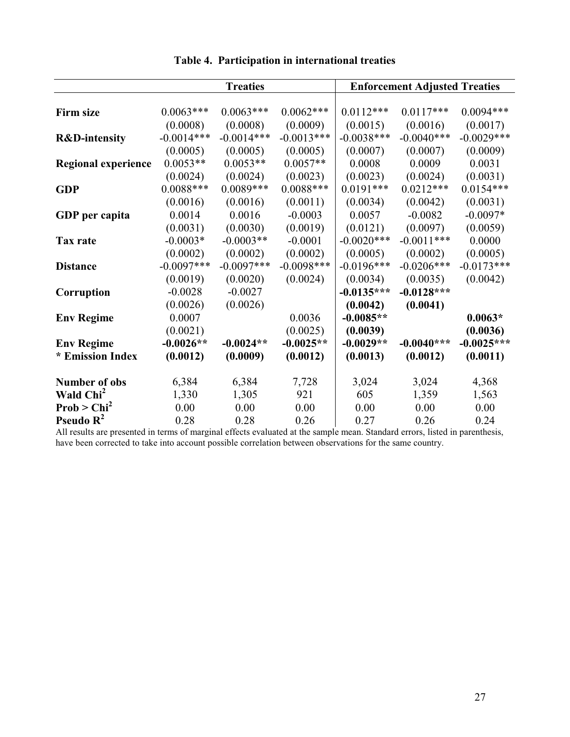|                            |              | <b>Treaties</b> |              | <b>Enforcement Adjusted Treaties</b> |              |              |  |
|----------------------------|--------------|-----------------|--------------|--------------------------------------|--------------|--------------|--|
|                            |              |                 |              |                                      |              |              |  |
| <b>Firm size</b>           | $0.0063***$  | $0.0063***$     | $0.0062***$  | $0.0112***$                          | $0.0117***$  | $0.0094***$  |  |
|                            | (0.0008)     | (0.0008)        | (0.0009)     | (0.0015)                             | (0.0016)     | (0.0017)     |  |
| <b>R&amp;D-intensity</b>   | $-0.0014***$ | $-0.0014***$    | $-0.0013***$ | $-0.0038***$                         | $-0.0040***$ | $-0.0029***$ |  |
|                            | (0.0005)     | (0.0005)        | (0.0005)     | (0.0007)                             | (0.0007)     | (0.0009)     |  |
| <b>Regional experience</b> | $0.0053**$   | $0.0053**$      | $0.0057**$   | 0.0008                               | 0.0009       | 0.0031       |  |
|                            | (0.0024)     | (0.0024)        | (0.0023)     | (0.0023)                             | (0.0024)     | (0.0031)     |  |
| <b>GDP</b>                 | $0.0088***$  | $0.0089***$     | $0.0088***$  | $0.0191***$                          | $0.0212***$  | $0.0154***$  |  |
|                            | (0.0016)     | (0.0016)        | (0.0011)     | (0.0034)                             | (0.0042)     | (0.0031)     |  |
| GDP per capita             | 0.0014       | 0.0016          | $-0.0003$    | 0.0057                               | $-0.0082$    | $-0.0097*$   |  |
|                            | (0.0031)     | (0.0030)        | (0.0019)     | (0.0121)                             | (0.0097)     | (0.0059)     |  |
| Tax rate                   | $-0.0003*$   | $-0.0003**$     | $-0.0001$    | $-0.0020***$                         | $-0.0011***$ | 0.0000       |  |
|                            | (0.0002)     | (0.0002)        | (0.0002)     | (0.0005)                             | (0.0002)     | (0.0005)     |  |
| <b>Distance</b>            | $-0.0097***$ | $-0.0097***$    | $-0.0098***$ | $-0.0196***$                         | $-0.0206***$ | $-0.0173***$ |  |
|                            | (0.0019)     | (0.0020)        | (0.0024)     | (0.0034)                             | (0.0035)     | (0.0042)     |  |
| Corruption                 | $-0.0028$    | $-0.0027$       |              | $-0.0135***$                         | $-0.0128***$ |              |  |
|                            | (0.0026)     | (0.0026)        |              | (0.0042)                             | (0.0041)     |              |  |
| <b>Env Regime</b>          | 0.0007       |                 | 0.0036       | $-0.0085**$                          |              | $0.0063*$    |  |
|                            | (0.0021)     |                 | (0.0025)     | (0.0039)                             |              | (0.0036)     |  |
| <b>Env Regime</b>          | $-0.0026**$  | $-0.0024**$     | $-0.0025**$  | $-0.0029**$                          | $-0.0040***$ | $-0.0025***$ |  |
| * Emission Index           | (0.0012)     | (0.0009)        | (0.0012)     | (0.0013)                             | (0.0012)     | (0.0011)     |  |
| <b>Number of obs</b>       | 6,384        | 6,384           | 7,728        | 3,024                                | 3,024        | 4,368        |  |
| Wald Chi <sup>2</sup>      | 1,330        | 1,305           | 921          | 605                                  | 1,359        | 1,563        |  |
| Prob > Chi <sup>2</sup>    | 0.00         | 0.00            | 0.00         | 0.00                                 | 0.00         | 0.00         |  |
| Pseudo $R^2$               | 0.28         | 0.28            | 0.26         | 0.27                                 | 0.26         | 0.24         |  |

Table 4. Participation in international treaties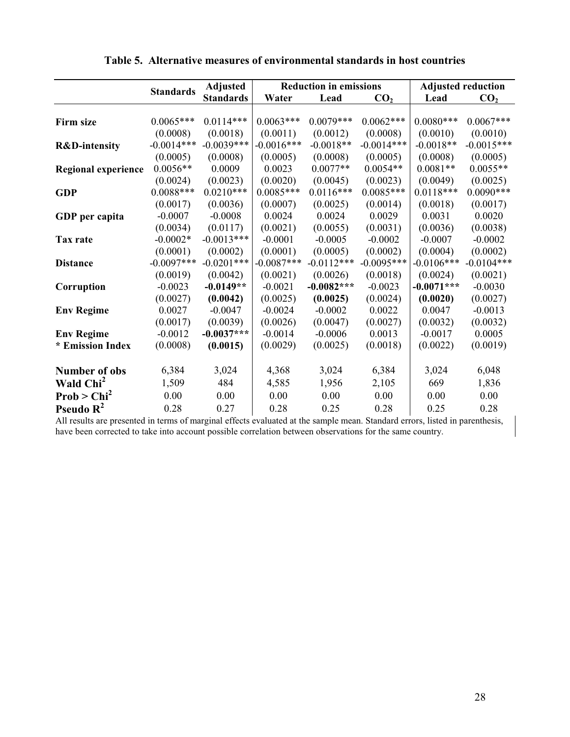|                            | <b>Standards</b> | <b>Adjusted</b>  |              | <b>Reduction in emissions</b> |                 |              | <b>Adjusted reduction</b> |  |  |
|----------------------------|------------------|------------------|--------------|-------------------------------|-----------------|--------------|---------------------------|--|--|
|                            |                  | <b>Standards</b> | Water        | Lead                          | CO <sub>2</sub> | Lead         | CO <sub>2</sub>           |  |  |
|                            |                  |                  |              |                               |                 |              |                           |  |  |
| Firm size                  | $0.0065***$      | $0.0114***$      | $0.0063***$  | $0.0079***$                   | $0.0062***$     | $0.0080***$  | $0.0067***$               |  |  |
|                            | (0.0008)         | (0.0018)         | (0.0011)     | (0.0012)                      | (0.0008)        | (0.0010)     | (0.0010)                  |  |  |
| <b>R&amp;D-intensity</b>   | $-0.0014***$     | $-0.0039***$     | $-0.0016***$ | $-0.0018**$                   | $-0.0014***$    | $-0.0018**$  | $-0.0015***$              |  |  |
|                            | (0.0005)         | (0.0008)         | (0.0005)     | (0.0008)                      | (0.0005)        | (0.0008)     | (0.0005)                  |  |  |
| <b>Regional experience</b> | $0.0056**$       | 0.0009           | 0.0023       | $0.0077**$                    | $0.0054**$      | $0.0081**$   | $0.0055**$                |  |  |
|                            | (0.0024)         | (0.0023)         | (0.0020)     | (0.0045)                      | (0.0023)        | (0.0049)     | (0.0025)                  |  |  |
| <b>GDP</b>                 | $0.0088***$      | $0.0210***$      | $0.0085***$  | $0.0116***$                   | $0.0085***$     | $0.0118***$  | $0.0090***$               |  |  |
|                            | (0.0017)         | (0.0036)         | (0.0007)     | (0.0025)                      | (0.0014)        | (0.0018)     | (0.0017)                  |  |  |
| GDP per capita             | $-0.0007$        | $-0.0008$        | 0.0024       | 0.0024                        | 0.0029          | 0.0031       | 0.0020                    |  |  |
|                            | (0.0034)         | (0.0117)         | (0.0021)     | (0.0055)                      | (0.0031)        | (0.0036)     | (0.0038)                  |  |  |
| Tax rate                   | $-0.0002*$       | $-0.0013***$     | $-0.0001$    | $-0.0005$                     | $-0.0002$       | $-0.0007$    | $-0.0002$                 |  |  |
|                            | (0.0001)         | (0.0002)         | (0.0001)     | (0.0005)                      | (0.0002)        | (0.0004)     | (0.0002)                  |  |  |
| <b>Distance</b>            | $-0.0097***$     | $-0.0201***$     | $-0.0087***$ | $-0.0112***$                  | $-0.0095***$    | $-0.0106***$ | $-0.0104***$              |  |  |
|                            | (0.0019)         | (0.0042)         | (0.0021)     | (0.0026)                      | (0.0018)        | (0.0024)     | (0.0021)                  |  |  |
| Corruption                 | $-0.0023$        | $-0.0149**$      | $-0.0021$    | $-0.0082***$                  | $-0.0023$       | $-0.0071***$ | $-0.0030$                 |  |  |
|                            | (0.0027)         | (0.0042)         | (0.0025)     | (0.0025)                      | (0.0024)        | (0.0020)     | (0.0027)                  |  |  |
| <b>Env Regime</b>          | 0.0027           | $-0.0047$        | $-0.0024$    | $-0.0002$                     | 0.0022          | 0.0047       | $-0.0013$                 |  |  |
|                            | (0.0017)         | (0.0039)         | (0.0026)     | (0.0047)                      | (0.0027)        | (0.0032)     | (0.0032)                  |  |  |
| <b>Env Regime</b>          | $-0.0012$        | $-0.0037***$     | $-0.0014$    | $-0.0006$                     | 0.0013          | $-0.0017$    | 0.0005                    |  |  |
| * Emission Index           | (0.0008)         | (0.0015)         | (0.0029)     | (0.0025)                      | (0.0018)        | (0.0022)     | (0.0019)                  |  |  |
|                            |                  |                  |              |                               |                 |              |                           |  |  |
| <b>Number of obs</b>       | 6,384            | 3,024            | 4,368        | 3,024                         | 6,384           | 3,024        | 6,048                     |  |  |
| Wald Chi <sup>2</sup>      | 1,509            | 484              | 4,585        | 1,956                         | 2,105           | 669          | 1,836                     |  |  |
| Prob > Chi <sup>2</sup>    | 0.00             | 0.00             | 0.00         | 0.00                          | 0.00            | 0.00         | 0.00                      |  |  |
| Pseudo $R^2$               | 0.28             | 0.27             | 0.28         | 0.25                          | 0.28            | 0.25         | 0.28                      |  |  |

Table 5. Alternative measures of environmental standards in host countries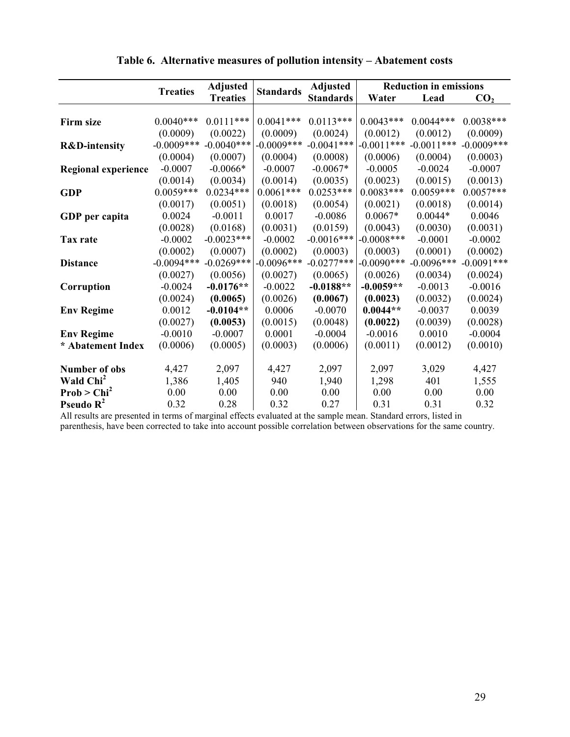|                            | <b>Treaties</b> | <b>Adjusted</b> | <b>Standards</b> | <b>Adjusted</b>  |               | <b>Reduction in emissions</b> |                 |
|----------------------------|-----------------|-----------------|------------------|------------------|---------------|-------------------------------|-----------------|
|                            |                 | <b>Treaties</b> |                  | <b>Standards</b> | Water         | Lead                          | CO <sub>2</sub> |
|                            |                 |                 |                  |                  |               |                               |                 |
| <b>Firm size</b>           | $0.0040***$     | $0.0111***$     | $0.0041***$      | $0.0113***$      | $0.0043***$   | $0.0044***$                   | $0.0038***$     |
|                            | (0.0009)        | (0.0022)        | (0.0009)         | (0.0024)         | (0.0012)      | (0.0012)                      | (0.0009)        |
| <b>R&amp;D-intensity</b>   | $-0.0009$ ***   | $-0.0040***$    | $-0.0009$ ***    | $-0.0041$ ***    | $-0.0011***$  | $-0.0011***$                  | $-0.0009$ ***   |
|                            | (0.0004)        | (0.0007)        | (0.0004)         | (0.0008)         | (0.0006)      | (0.0004)                      | (0.0003)        |
| <b>Regional experience</b> | $-0.0007$       | $-0.0066*$      | $-0.0007$        | $-0.0067*$       | $-0.0005$     | $-0.0024$                     | $-0.0007$       |
|                            | (0.0014)        | (0.0034)        | (0.0014)         | (0.0035)         | (0.0023)      | (0.0015)                      | (0.0013)        |
| <b>GDP</b>                 | $0.0059***$     | $0.0234***$     | $0.0061***$      | $0.0253***$      | $0.0083***$   | $0.0059***$                   | $0.0057***$     |
|                            | (0.0017)        | (0.0051)        | (0.0018)         | (0.0054)         | (0.0021)      | (0.0018)                      | (0.0014)        |
| GDP per capita             | 0.0024          | $-0.0011$       | 0.0017           | $-0.0086$        | $0.0067*$     | $0.0044*$                     | 0.0046          |
|                            | (0.0028)        | (0.0168)        | (0.0031)         | (0.0159)         | (0.0043)      | (0.0030)                      | (0.0031)        |
| Tax rate                   | $-0.0002$       | $-0.0023***$    | $-0.0002$        | $-0.0016***$     | $-0.0008$ *** | $-0.0001$                     | $-0.0002$       |
|                            | (0.0002)        | (0.0007)        | (0.0002)         | (0.0003)         | (0.0003)      | (0.0001)                      | (0.0002)        |
| <b>Distance</b>            | $-0.0094***$    | $-0.0269***$    | $-0.0096***$     | $-0.0277***$     | $-0.0090***$  | $-0.0096$ ***                 | $-0.0091***$    |
|                            | (0.0027)        | (0.0056)        | (0.0027)         | (0.0065)         | (0.0026)      | (0.0034)                      | (0.0024)        |
| Corruption                 | $-0.0024$       | $-0.0176**$     | $-0.0022$        | $-0.0188**$      | $-0.0059**$   | $-0.0013$                     | $-0.0016$       |
|                            | (0.0024)        | (0.0065)        | (0.0026)         | (0.0067)         | (0.0023)      | (0.0032)                      | (0.0024)        |
| <b>Env Regime</b>          | 0.0012          | $-0.0104**$     | 0.0006           | $-0.0070$        | $0.0044**$    | $-0.0037$                     | 0.0039          |
|                            | (0.0027)        | (0.0053)        | (0.0015)         | (0.0048)         | (0.0022)      | (0.0039)                      | (0.0028)        |
| <b>Env Regime</b>          | $-0.0010$       | $-0.0007$       | 0.0001           | $-0.0004$        | $-0.0016$     | 0.0010                        | $-0.0004$       |
| * Abatement Index          | (0.0006)        | (0.0005)        | (0.0003)         | (0.0006)         | (0.0011)      | (0.0012)                      | (0.0010)        |
|                            |                 |                 |                  |                  |               |                               |                 |
| <b>Number of obs</b>       | 4,427           | 2,097           | 4,427            | 2,097            | 2,097         | 3,029                         | 4,427           |
| Wald Chi <sup>2</sup>      | 1,386           | 1,405           | 940              | 1,940            | 1,298         | 401                           | 1,555           |
| Prob > Chi <sup>2</sup>    | 0.00            | 0.00            | 0.00             | 0.00             | 0.00          | 0.00                          | 0.00            |
| Pseudo $R^2$               | 0.32            | 0.28            | 0.32             | 0.27             | 0.31          | 0.31                          | 0.32            |

Table 6. Alternative measures of pollution intensity - Abatement costs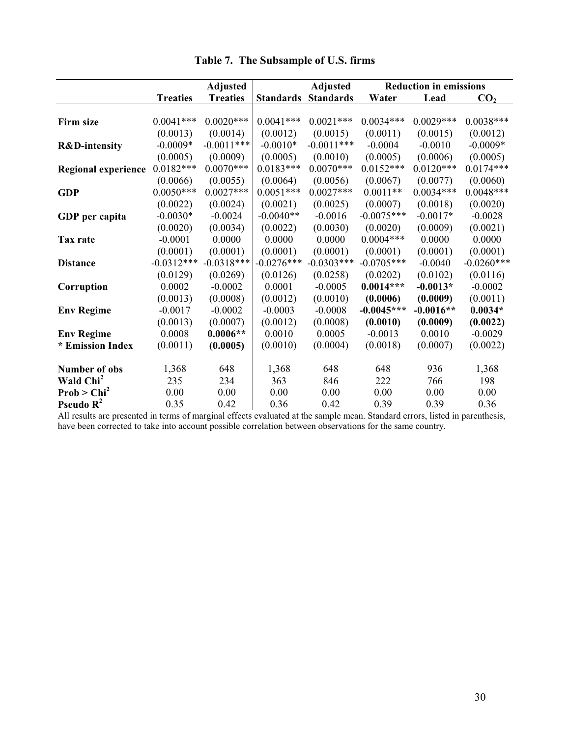|                            |                 | <b>Adjusted</b> |                  |                  | <b>Reduction in emissions</b><br><b>Adjusted</b> |             |                 |
|----------------------------|-----------------|-----------------|------------------|------------------|--------------------------------------------------|-------------|-----------------|
|                            | <b>Treaties</b> | <b>Treaties</b> | <b>Standards</b> | <b>Standards</b> | Water                                            | Lead        | CO <sub>2</sub> |
|                            |                 |                 |                  |                  |                                                  |             |                 |
| Firm size                  | $0.0041***$     | $0.0020***$     | $0.0041***$      | $0.0021***$      | $0.0034***$                                      | $0.0029***$ | $0.0038***$     |
|                            | (0.0013)        | (0.0014)        | (0.0012)         | (0.0015)         | (0.0011)                                         | (0.0015)    | (0.0012)        |
| <b>R&amp;D-intensity</b>   | $-0.0009*$      | $-0.0011***$    | $-0.0010*$       | $-0.0011***$     | $-0.0004$                                        | $-0.0010$   | $-0.0009*$      |
|                            | (0.0005)        | (0.0009)        | (0.0005)         | (0.0010)         | (0.0005)                                         | (0.0006)    | (0.0005)        |
| <b>Regional experience</b> | $0.0182***$     | $0.0070***$     | $0.0183***$      | $0.0070***$      | $0.0152***$                                      | $0.0120***$ | $0.0174***$     |
|                            | (0.0066)        | (0.0055)        | (0.0064)         | (0.0056)         | (0.0067)                                         | (0.0077)    | (0.0060)        |
| <b>GDP</b>                 | $0.0050***$     | $0.0027***$     | $0.0051***$      | $0.0027***$      | $0.0011**$                                       | $0.0034***$ | $0.0048***$     |
|                            | (0.0022)        | (0.0024)        | (0.0021)         | (0.0025)         | (0.0007)                                         | (0.0018)    | (0.0020)        |
| GDP per capita             | $-0.0030*$      | $-0.0024$       | $-0.0040**$      | $-0.0016$        | $-0.0075***$                                     | $-0.0017*$  | $-0.0028$       |
|                            | (0.0020)        | (0.0034)        | (0.0022)         | (0.0030)         | (0.0020)                                         | (0.0009)    | (0.0021)        |
| Tax rate                   | $-0.0001$       | 0.0000          | 0.0000           | 0.0000           | $0.0004***$                                      | 0.0000      | 0.0000          |
|                            | (0.0001)        | (0.0001)        | (0.0001)         | (0.0001)         | (0.0001)                                         | (0.0001)    | (0.0001)        |
| <b>Distance</b>            | $-0.0312***$    | $-0.0318***$    | $-0.0276***$     | $-0.0303***$     | $-0.0705***$                                     | $-0.0040$   | $-0.0260***$    |
|                            | (0.0129)        | (0.0269)        | (0.0126)         | (0.0258)         | (0.0202)                                         | (0.0102)    | (0.0116)        |
| Corruption                 | 0.0002          | $-0.0002$       | 0.0001           | $-0.0005$        | $0.0014***$                                      | $-0.0013*$  | $-0.0002$       |
|                            | (0.0013)        | (0.0008)        | (0.0012)         | (0.0010)         | (0.0006)                                         | (0.0009)    | (0.0011)        |
| <b>Env Regime</b>          | $-0.0017$       | $-0.0002$       | $-0.0003$        | $-0.0008$        | $-0.0045***$                                     | $-0.0016**$ | $0.0034*$       |
|                            | (0.0013)        | (0.0007)        | (0.0012)         | (0.0008)         | (0.0010)                                         | (0.0009)    | (0.0022)        |
| <b>Env Regime</b>          | 0.0008          | $0.0006**$      | 0.0010           | 0.0005           | $-0.0013$                                        | 0.0010      | $-0.0029$       |
| * Emission Index           | (0.0011)        | (0.0005)        | (0.0010)         | (0.0004)         | (0.0018)                                         | (0.0007)    | (0.0022)        |
|                            |                 |                 |                  |                  |                                                  |             |                 |
| <b>Number of obs</b>       | 1,368           | 648             | 1,368            | 648              | 648                                              | 936         | 1,368           |
| Wald Chi <sup>2</sup>      | 235             | 234             | 363              | 846              | 222                                              | 766         | 198             |
| Prob > Chi <sup>2</sup>    | 0.00            | 0.00            | 0.00             | 0.00             | 0.00                                             | 0.00        | 0.00            |
| Pseudo $R^2$               | 0.35            | 0.42            | 0.36             | 0.42             | 0.39                                             | 0.39        | 0.36            |

Table 7. The Subsample of U.S. firms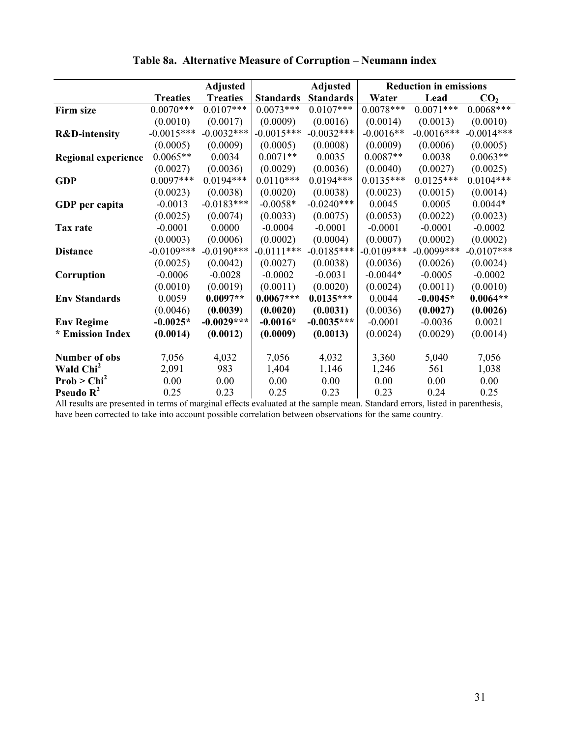|                            |                 | <b>Adjusted</b> |                  | <b>Adjusted</b>  |              | <b>Reduction in emissions</b> |                 |
|----------------------------|-----------------|-----------------|------------------|------------------|--------------|-------------------------------|-----------------|
|                            | <b>Treaties</b> | <b>Treaties</b> | <b>Standards</b> | <b>Standards</b> | Water        | Lead                          | CO <sub>2</sub> |
| Firm size                  | $0.0070***$     | $0.0107***$     | $0.0073***$      | $0.0107***$      | $0.0078***$  | $0.0071***$                   | $0.0068***$     |
|                            | (0.0010)        | (0.0017)        | (0.0009)         | (0.0016)         | (0.0014)     | (0.0013)                      | (0.0010)        |
| <b>R&amp;D-intensity</b>   | $-0.0015***$    | $-0.0032***$    | $-0.0015***$     | $-0.0032***$     | $-0.0016**$  | $-0.0016***$                  | $-0.0014***$    |
|                            | (0.0005)        | (0.0009)        | (0.0005)         | (0.0008)         | (0.0009)     | (0.0006)                      | (0.0005)        |
| <b>Regional experience</b> | $0.0065**$      | 0.0034          | $0.0071**$       | 0.0035           | $0.0087**$   | 0.0038                        | $0.0063**$      |
|                            | (0.0027)        | (0.0036)        | (0.0029)         | (0.0036)         | (0.0040)     | (0.0027)                      | (0.0025)        |
| <b>GDP</b>                 | $0.0097***$     | $0.0194***$     | $0.0110***$      | $0.0194***$      | $0.0135***$  | $0.0125***$                   | $0.0104***$     |
|                            | (0.0023)        | (0.0038)        | (0.0020)         | (0.0038)         | (0.0023)     | (0.0015)                      | (0.0014)        |
| GDP per capita             | $-0.0013$       | $-0.0183***$    | $-0.0058*$       | $-0.0240***$     | 0.0045       | 0.0005                        | $0.0044*$       |
|                            | (0.0025)        | (0.0074)        | (0.0033)         | (0.0075)         | (0.0053)     | (0.0022)                      | (0.0023)        |
| Tax rate                   | $-0.0001$       | 0.0000          | $-0.0004$        | $-0.0001$        | $-0.0001$    | $-0.0001$                     | $-0.0002$       |
|                            | (0.0003)        | (0.0006)        | (0.0002)         | (0.0004)         | (0.0007)     | (0.0002)                      | (0.0002)        |
| <b>Distance</b>            | $-0.0109***$    | $-0.0190***$    | $-0.0111***$     | $-0.0185***$     | $-0.0109***$ | $-0.0099***$                  | $-0.0107***$    |
|                            | (0.0025)        | (0.0042)        | (0.0027)         | (0.0038)         | (0.0036)     | (0.0026)                      | (0.0024)        |
| Corruption                 | $-0.0006$       | $-0.0028$       | $-0.0002$        | $-0.0031$        | $-0.0044*$   | $-0.0005$                     | $-0.0002$       |
|                            | (0.0010)        | (0.0019)        | (0.0011)         | (0.0020)         | (0.0024)     | (0.0011)                      | (0.0010)        |
| <b>Env Standards</b>       | 0.0059          | $0.0097**$      | $0.0067***$      | $0.0135***$      | 0.0044       | $-0.0045*$                    | $0.0064**$      |
|                            | (0.0046)        | (0.0039)        | (0.0020)         | (0.0031)         | (0.0036)     | (0.0027)                      | (0.0026)        |
| <b>Env Regime</b>          | $-0.0025*$      | $-0.0029***$    | $-0.0016*$       | $-0.0035***$     | $-0.0001$    | $-0.0036$                     | 0.0021          |
| * Emission Index           | (0.0014)        | (0.0012)        | (0.0009)         | (0.0013)         | (0.0024)     | (0.0029)                      | (0.0014)        |
|                            |                 |                 |                  |                  |              |                               |                 |
| <b>Number of obs</b>       | 7,056           | 4,032           | 7,056            | 4,032            | 3,360        | 5,040                         | 7,056           |
| Wald Chi <sup>2</sup>      | 2,091           | 983             | 1,404            | 1,146            | 1,246        | 561                           | 1,038           |
| Prob > Chi <sup>2</sup>    | 0.00            | 0.00            | 0.00             | 0.00             | 0.00         | 0.00                          | 0.00            |
| Pseudo $R^2$               | 0.25            | 0.23            | 0.25             | 0.23             | 0.23         | 0.24                          | 0.25            |

# Table 8a. Alternative Measure of Corruption - Neumann index